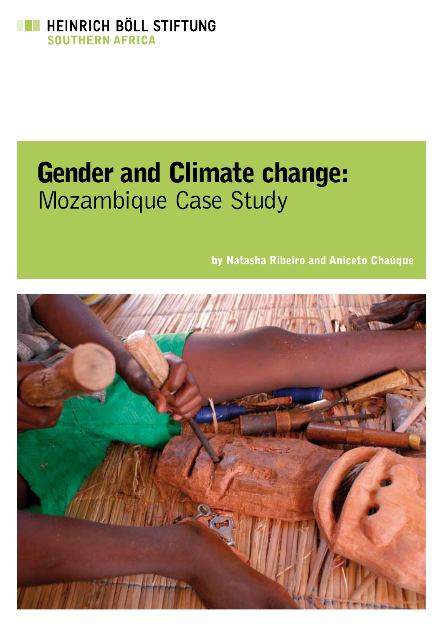

# Gender and Climate change: Mozambique Case Study

by Natasha Ribeiro and Aniceto Chaúque

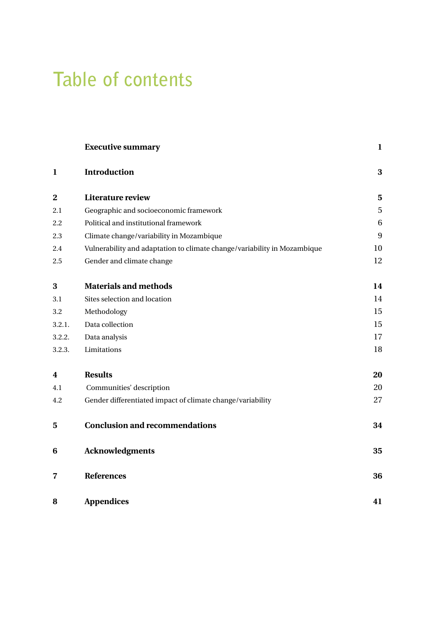## **Table of contents**

|                         | <b>Executive summary</b>                                                 | $\mathbf{1}$ |
|-------------------------|--------------------------------------------------------------------------|--------------|
| $\mathbf{1}$            | Introduction                                                             | 3            |
| $\overline{\mathbf{2}}$ | <b>Literature review</b>                                                 | 5            |
| 2.1                     | Geographic and socioeconomic framework                                   | $\sqrt{5}$   |
| 2.2                     | Political and institutional framework                                    | 6            |
| 2.3                     | Climate change/variability in Mozambique                                 | 9            |
| 2.4                     | Vulnerability and adaptation to climate change/variability in Mozambique | 10           |
| 2.5                     | Gender and climate change                                                | 12           |
| 3                       | <b>Materials and methods</b>                                             | 14           |
| 3.1                     | Sites selection and location                                             | 14           |
| 3.2                     | Methodology                                                              | 15           |
| 3.2.1.                  | Data collection                                                          | 15           |
| 3.2.2.                  | Data analysis                                                            | 17           |
| 3.2.3.                  | Limitations                                                              | 18           |
| 4                       | <b>Results</b>                                                           | 20           |
| 4.1                     | Communities' description                                                 | 20           |
| 4.2                     | Gender differentiated impact of climate change/variability               | 27           |
| 5                       | <b>Conclusion and recommendations</b>                                    | 34           |
| 6                       | <b>Acknowledgments</b>                                                   | 35           |
| 7                       | <b>References</b>                                                        | 36           |
| 8                       | <b>Appendices</b>                                                        | 41           |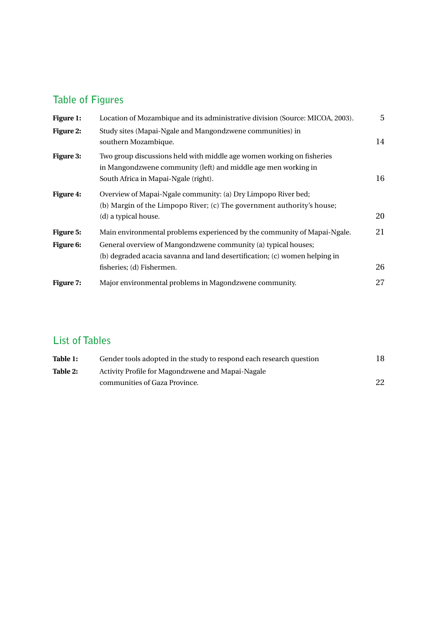### **Table of Figures**

| Figure 1:              | Location of Mozambique and its administrative division (Source: MICOA, 2003).                                                                                                   | 5  |
|------------------------|---------------------------------------------------------------------------------------------------------------------------------------------------------------------------------|----|
| <b>Figure 2:</b>       | Study sites (Mapai-Ngale and Mangondzwene communities) in<br>southern Mozambique.                                                                                               | 14 |
| <b>Figure 3:</b>       | Two group discussions held with middle age women working on fisheries<br>in Mangondzwene community (left) and middle age men working in<br>South Africa in Mapai-Ngale (right). | 16 |
| <b>Figure 4:</b>       | Overview of Mapai-Ngale community: (a) Dry Limpopo River bed;<br>(b) Margin of the Limpopo River; (c) The government authority's house;<br>(d) a typical house.                 | 20 |
| Figure 5:<br>Figure 6: | Main environmental problems experienced by the community of Mapai-Ngale.<br>General overview of Mangondzwene community (a) typical houses;                                      | 21 |
|                        | (b) degraded acacia savanna and land desertification; (c) women helping in<br>fisheries; (d) Fishermen.                                                                         | 26 |
| <b>Figure 7:</b>       | Major environmental problems in Magondzwene community.                                                                                                                          | 27 |

### **List of Tables**

| Table 1: | Gender tools adopted in the study to respond each research question | 18 |
|----------|---------------------------------------------------------------------|----|
| Table 2: | Activity Profile for Magondzwene and Mapai-Nagale                   |    |
|          | communities of Gaza Province.                                       | 22 |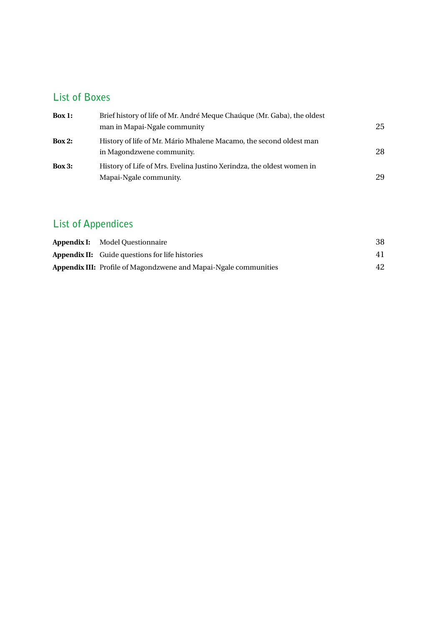### **List of Boxes**

| Box 1: | Brief history of life of Mr. André Meque Chaúque (Mr. Gaba), the oldest                         |    |  |  |
|--------|-------------------------------------------------------------------------------------------------|----|--|--|
|        | man in Mapai-Ngale community                                                                    | 25 |  |  |
| Box 2: | History of life of Mr. Mário Mhalene Macamo, the second oldest man<br>in Magondzwene community. | 28 |  |  |
| Box 3: | History of Life of Mrs. Evelina Justino Xerindza, the oldest women in                           |    |  |  |
|        | Mapai-Ngale community.                                                                          | 29 |  |  |

### **List of Appendices**

| <b>Appendix I:</b> Model Questionnaire                                  | 38 |
|-------------------------------------------------------------------------|----|
| <b>Appendix II:</b> Guide questions for life histories                  | 41 |
| <b>Appendix III:</b> Profile of Magondzwene and Mapai-Ngale communities | 42 |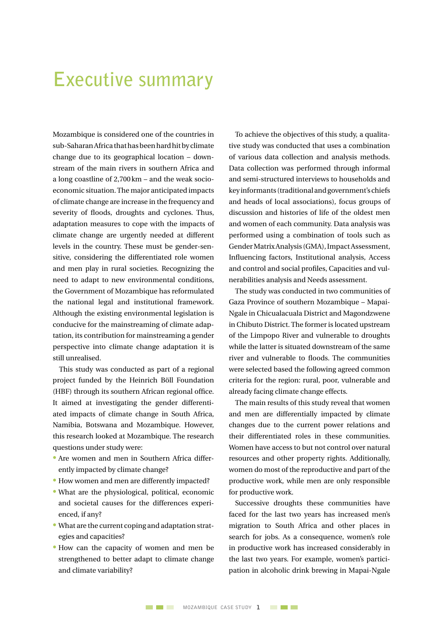## **Executive summary**

Mozambique is considered one of the countries in sub-Saharan Africa that has been hard hit by climate change due to its geographical location – downstream of the main rivers in southern Africa and a long coastline of 2,700km – and the weak socioeconomic situation.The major anticipated impacts of climate change are increase in the frequency and severity of floods, droughts and cyclones. Thus, adaptation measures to cope with the impacts of climate change are urgently needed at different levels in the country. These must be gender-sensitive, considering the differentiated role women and men play in rural societies. Recognizing the need to adapt to new environmental conditions, the Government of Mozambique has reformulated the national legal and institutional framework. Although the existing environmental legislation is conducive for the mainstreaming of climate adaptation, its contribution for mainstreaming a gender perspective into climate change adaptation it is still unrealised.

This study was conducted as part of a regional project funded by the Heinrich Böll Foundation (HBF) through its southern African regional office. It aimed at investigating the gender differentiated impacts of climate change in South Africa, Namibia, Botswana and Mozambique. However, this research looked at Mozambique. The research questions under study were:

- Are women and men in Southern Africa differently impacted by climate change?
- How women and men are differently impacted?
- What are the physiological, political, economic and societal causes for the differences experienced, if any?
- What are the current coping and adaptation strategies and capacities?
- How can the capacity of women and men be strengthened to better adapt to climate change and climate variability?

To achieve the objectives of this study, a qualitative study was conducted that uses a combination of various data collection and analysis methods. Data collection was performed through informal and semi-structured interviews to households and keyinformants (traditionalandgovernment's chiefs and heads of local associations), focus groups of discussion and histories of life of the oldest men and women of each community. Data analysis was performed using a combination of tools such as Gender Matrix Analysis (GMA), Impact Assessment, Influencing factors, Institutional analysis, Access and control and social profiles, Capacities and vulnerabilities analysis and Needs assessment.

The study was conducted in two communities of Gaza Province of southern Mozambique – Mapai-Ngale in Chicualacuala District and Magondzwene in Chibuto District. The former is located upstream of the Limpopo River and vulnerable to droughts while the latter is situated downstream of the same river and vulnerable to floods. The communities were selected based the following agreed common criteria for the region: rural, poor, vulnerable and already facing climate change effects.

The main results of this study reveal that women and men are differentially impacted by climate changes due to the current power relations and their differentiated roles in these communities. Women have access to but not control over natural resources and other property rights. Additionally, women do most of the reproductive and part of the productive work, while men are only responsible for productive work.

Successive droughts these communities have faced for the last two years has increased men's migration to South Africa and other places in search for jobs. As a consequence, women's role in productive work has increased considerably in the last two years. For example, women's participation in alcoholic drink brewing in Mapai-Ngale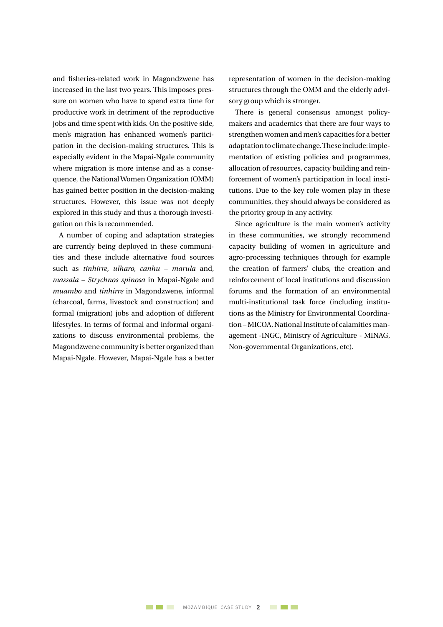and fisheries-related work in Magondzwene has increased in the last two years. This imposes pressure on women who have to spend extra time for productive work in detriment of the reproductive jobs and time spent with kids. On the positive side, men's migration has enhanced women's participation in the decision-making structures. This is especially evident in the Mapai-Ngale community where migration is more intense and as a consequence, the National Women Organization (OMM) has gained better position in the decision-making structures. However, this issue was not deeply explored in this study and thus a thorough investigation on this is recommended.

A number of coping and adaptation strategies are currently being deployed in these communities and these include alternative food sources such as *tinhirre, ulharo, canhu* – *marula* and, *massala* – *Strychnos spinosa* in Mapai-Ngale and *muambo* and *tinhirre* in Magondzwene, informal (charcoal, farms, livestock and construction) and formal (migration) jobs and adoption of different lifestyles. In terms of formal and informal organizations to discuss environmental problems, the Magondzwene community is better organized than Mapai-Ngale. However, Mapai-Ngale has a better

representation of women in the decision-making structures through the OMM and the elderly advisory group which is stronger.

There is general consensus amongst policymakers and academics that there are four ways to strengthen women and men's capacities for a better adaptationtoclimatechange.Theseinclude:implementation of existing policies and programmes, allocation of resources, capacity building and reinforcement of women's participation in local institutions. Due to the key role women play in these communities, they should always be considered as the priority group in any activity.

Since agriculture is the main women's activity in these communities, we strongly recommend capacity building of women in agriculture and agro-processing techniques through for example the creation of farmers' clubs, the creation and reinforcement of local institutions and discussion forums and the formation of an environmental multi-institutional task force (including institutions as the Ministry for Environmental Coordination – MICOA, National Institute of calamities management -INGC, Ministry of Agriculture - MINAG, Non-governmental Organizations, etc).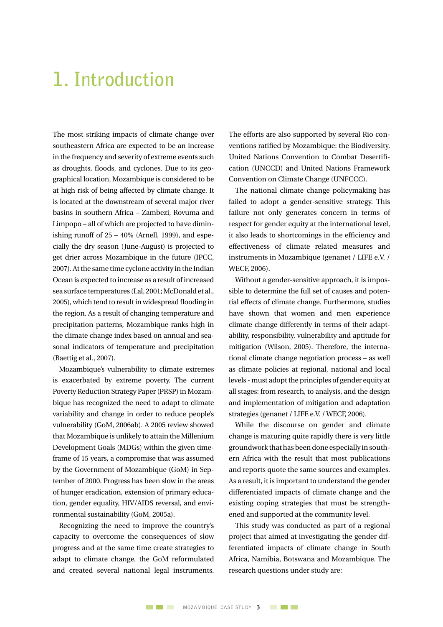## **1. Introduction**

The most striking impacts of climate change over southeastern Africa are expected to be an increase in the frequency and severity of extreme events such as droughts, floods, and cyclones. Due to its geographical location, Mozambique is considered to be at high risk of being affected by climate change. It is located at the downstream of several major river basins in southern Africa – Zambezi, Rovuma and Limpopo – all of which are projected to have diminishing runoff of  $25 - 40\%$  (Arnell, 1999), and especially the dry season (June-August) is projected to get drier across Mozambique in the future (IPCC, 2007).Atthe same time cyclone activity in the Indian Ocean is expected to increase as a result of increased sea surface temperatures (Lal, 2001; McDonald et al., 2005), which tend to result in widespread flooding in the region. As a result of changing temperature and precipitation patterns, Mozambique ranks high in the climate change index based on annual and seasonal indicators of temperature and precipitation (Baettig et al., 2007).

Mozambique's vulnerability to climate extremes is exacerbated by extreme poverty. The current Poverty Reduction Strategy Paper(PRSP) in Mozambique has recognized the need to adapt to climate variability and change in order to reduce people's vulnerability (GoM, 2006ab). A 2005 review showed that Mozambique is unlikely to attain the Millenium Development Goals (MDGs) within the given timeframe of 15 years, a compromise that was assumed by the Government of Mozambique (GoM) in September of 2000. Progress has been slow in the areas of hunger eradication, extension of primary education, gender equality, HIV/AIDS reversal, and environmental sustainability (GoM, 2005a).

Recognizing the need to improve the country's capacity to overcome the consequences of slow progress and at the same time create strategies to adapt to climate change, the GoM reformulated and created several national legal instruments. The efforts are also supported by several Rio conventions ratified by Mozambique: the Biodiversity, United Nations Convention to Combat Desertification (UNCCD) and United Nations Framework Convention on Climate Change (UNFCCC).

The national climate change policymaking has failed to adopt a gender-sensitive strategy. This failure not only generates concern in terms of respect for gender equity at the international level, it also leads to shortcomings in the efficiency and effectiveness of climate related measures and instruments in Mozambique (genanet / LIFE e.V. / WECF, 2006).

Without a gender-sensitive approach, it is impossible to determine the full set of causes and potential effects of climate change. Furthermore, studies have shown that women and men experience climate change differently in terms of their adaptability, responsibility, vulnerability and aptitude for mitigation (Wilson, 2005). Therefore, the international climate change negotiation process – as well as climate policies at regional, national and local levels - must adopt the principles of gender equity at all stages: from research, to analysis, and the design and implementation of mitigation and adaptation strategies (genanet / LIFE e.V. /WECF, 2006).

While the discourse on gender and climate change is maturing quite rapidly there is very little groundwork that has been done especially in southern Africa with the result that most publications and reports quote the same sources and examples. As a result, it is important to understand the gender differentiated impacts of climate change and the existing coping strategies that must be strengthened and supported at the community level.

This study was conducted as part of a regional project that aimed at investigating the gender differentiated impacts of climate change in South Africa, Namibia, Botswana and Mozambique. The research questions under study are: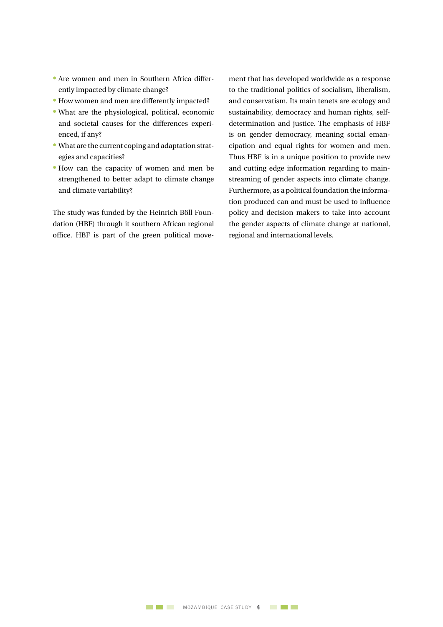- Are women and men in Southern Africa differently impacted by climate change?
- How women and men are differently impacted?
- What are the physiological, political, economic and societal causes for the differences experienced, if any?
- What are the current coping and adaptation strategies and capacities?
- How can the capacity of women and men be strengthened to better adapt to climate change and climate variability?

The study was funded by the Heinrich Böll Foundation (HBF) through it southern African regional office. HBF is part of the green political movement that has developed worldwide as a response to the traditional politics of socialism, liberalism, and conservatism. Its main tenets are ecology and sustainability, democracy and human rights, selfdetermination and justice. The emphasis of HBF is on gender democracy, meaning social emancipation and equal rights for women and men. Thus HBF is in a unique position to provide new and cutting edge information regarding to mainstreaming of gender aspects into climate change. Furthermore, as a political foundation the information produced can and must be used to influence policy and decision makers to take into account the gender aspects of climate change at national, regional and international levels.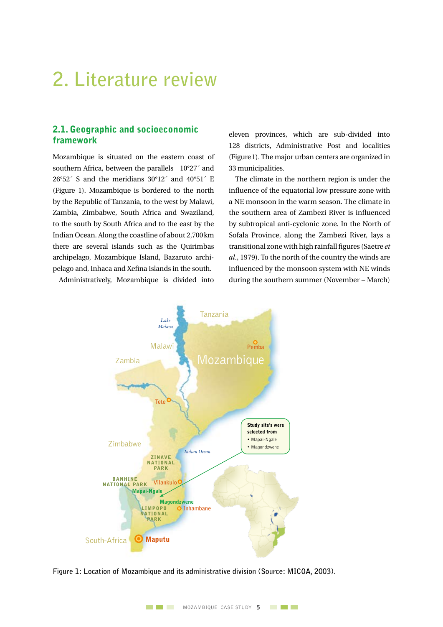## **2. Literature review**

#### 2.1. Geographic and socioeconomic framework

Mozambique is situated on the eastern coast of southern Africa, between the parallels 10°27´ and  $26°52'$  S and the meridians  $30°12'$  and  $40°51'$  E (Figure 1). Mozambique is bordered to the north by the Republic of Tanzania, to the west by Malawi, Zambia, Zimbabwe, South Africa and Swaziland, to the south by South Africa and to the east by the Indian Ocean. Along the coastline of about 2,700km there are several islands such as the Quirimbas archipelago, Mozambique Island, Bazaruto archipelago and, Inhaca and Xefina Islands in the south.

Administratively, Mozambique is divided into

eleven provinces, which are sub-divided into 128 districts, Administrative Post and localities (Figure1). The major urban centers are organized in 33 municipalities.

The climate in the northern region is under the influence of the equatorial low pressure zone with a NE monsoon in the warm season. The climate in the southern area of Zambezi River is influenced by subtropical anti-cyclonic zone. In the North of Sofala Province, along the Zambezi River, lays a transitional zone with high rainfall figures (Saetre *et al*., 1979). To the north of the country the winds are influenced by the monsoon system with NE winds during the southern summer (November – March)



**Figure 1: Location of Mozambique and its administrative division (Source: MICOA, 2003).**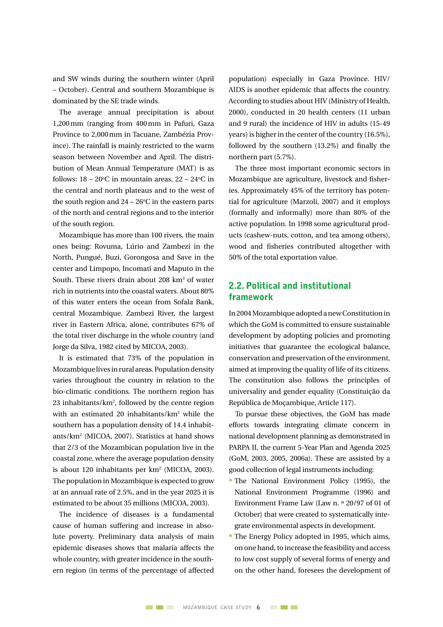and SW winds during the southern winter (April – October). Central and southern Mozambique is dominated by the SE trade winds.

The average annual precipitation is about 1,200mm (ranging from 400mm in Pafuri, Gaza Province to 2,000mm in Tacuane, Zambézia Province). The rainfall is mainly restricted to the warm season between November and April. The distribution of Mean Annual Temperature (MAT) is as follows:  $18 - 20^{\circ}$ C in mountain areas,  $22 - 24^{\circ}$ C in the central and north plateaus and to the west of the south region and  $24 - 26$ °C in the eastern parts of the north and central regions and to the interior of the south region.

Mozambique has more than 100 rivers, the main ones being: Rovuma, Lúrio and Zambezi in the North, Pungué, Buzi, Gorongosa and Save in the center and Limpopo, Incomati and Maputo in the South. These rivers drain about 208 km<sup>3</sup> of water rich in nutrients into the coastal waters. About 80% of this water enters the ocean from Sofala Bank, central Mozambique. Zambezi River, the largest river in Eastern Africa, alone, contributes 67% of the total river discharge in the whole country (and Jorge da Silva, 1982 cited by MICOA, 2003).

It is estimated that 73% of the population in Mozambique lives in rural areas. Population density varies throughout the country in relation to the bio-climatic conditions. The northern region has 23 inhabitants/ $km^2$ , followed by the centre region with an estimated 20 inhabitants/km2 while the southern has a population density of 14.4 inhabitants/km2 (MICOA, 2007). Statistics at hand shows that 2/3 of the Mozambican population live in the coastal zone, where the average population density is about 120 inhabitants per km2 (MICOA, 2003). The population in Mozambique is expected to grow at an annual rate of 2.5%, and in the year 2025 it is estimated to be about 35 millions (MICOA, 2003).

The incidence of diseases is a fundamental cause of human suffering and increase in absolute poverty. Preliminary data analysis of main epidemic diseases shows that malaria affects the whole country, with greater incidence in the southern region (in terms of the percentage of affected population) especially in Gaza Province. HIV/ AIDS is another epidemic that affects the country. According to studies about HIV (Ministry of Health, 2000), conducted in 20 health centers (11 urban and 9 rural) the incidence of HIV in adults (15-49 years) is higher in the center of the country (16.5%), followed by the southern (13.2%) and finally the northern part (5.7%).

The three most important economic sectors in Mozambique are agriculture, livestock and fisheries. Approximately 45% of the territory has potential for agriculture (Marzoli, 2007) and it employs (formally and informally) more than 80% of the active population. In 1998 some agricultural products (cashew-nuts, cotton, and tea among others), wood and fisheries contributed altogether with 50% of the total exportation value.

#### 2.2. Political and institutional framework

In2004Mozambique adoptedanewConstitutionin which the GoM is committed to ensure sustainable development by adopting policies and promoting initiatives that guarantee the ecological balance, conservation and preservation of the environment, aimed at improving the quality of life of its citizens. The constitution also follows the principles of universality and gender equality (Constituição da República de Moçambique, Article 117).

To pursue these objectives, the GoM has made efforts towards integrating climate concern in national development planning as demonstrated in PARPA II, the current 5-Year Plan and Agenda 2025 (GoM, 2003, 2005, 2006a). These are assisted by a good collection of legal instruments including:

- The National Environment Policy (1995), the National Environment Programme (1996) and Environment Frame Law (Law n. º 20/97 of 01 of October) that were created to systematically integrate environmental aspects in development.
- The Energy Policy adopted in 1995, which aims, on one hand, to increase the feasibility and access to low cost supply of several forms of energy and on the other hand, foresees the development of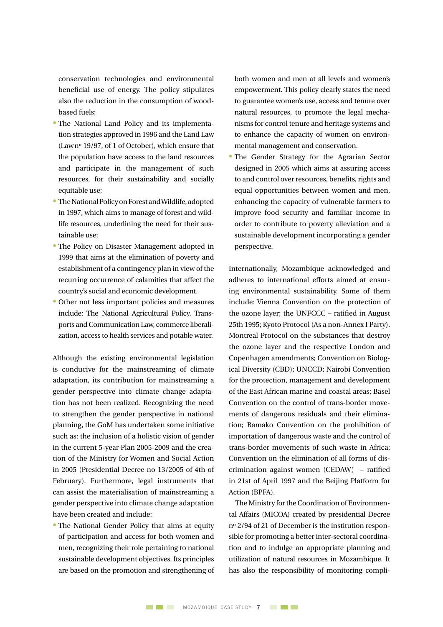conservation technologies and environmental beneficial use of energy. The policy stipulates also the reduction in the consumption of woodbased fuels;

- The National Land Policy and its implementation strategies approved in 1996 and the Land Law (Lawnº 19/97, of 1 of October), which ensure that the population have access to the land resources and participate in the management of such resources, for their sustainability and socially equitable use;
- The National Policy on Forest and Wildlife, adopted in 1997, which aims to manage of forest and wildlife resources, underlining the need for their sustainable use;
- The Policy on Disaster Management adopted in 1999 that aims at the elimination of poverty and establishment of a contingency plan in view of the recurring occurrence of calamities that affect the country's social and economic development.
- Other not less important policies and measures include: The National Agricultural Policy, Transports and Communication Law, commerce liberalization, access to health services and potable water.

Although the existing environmental legislation is conducive for the mainstreaming of climate adaptation, its contribution for mainstreaming a gender perspective into climate change adaptation has not been realized. Recognizing the need to strengthen the gender perspective in national planning, the GoM has undertaken some initiative such as: the inclusion of a holistic vision of gender in the current 5-year Plan 2005-2009 and the creation of the Ministry for Women and Social Action in 2005 (Presidential Decree no 13/2005 of 4th of February). Furthermore, legal instruments that can assist the materialisation of mainstreaming a gender perspective into climate change adaptation have been created and include:

• The National Gender Policy that aims at equity of participation and access for both women and men, recognizing their role pertaining to national sustainable development objectives. Its principles are based on the promotion and strengthening of both women and men at all levels and women's empowerment. This policy clearly states the need to guarantee women's use, access and tenure over natural resources, to promote the legal mechanisms for control tenure and heritage systems and to enhance the capacity of women on environmental management and conservation.

• The Gender Strategy for the Agrarian Sector designed in 2005 which aims at assuring access to and control over resources, benefits, rights and equal opportunities between women and men, enhancing the capacity of vulnerable farmers to improve food security and familiar income in order to contribute to poverty alleviation and a sustainable development incorporating a gender perspective.

Internationally, Mozambique acknowledged and adheres to international efforts aimed at ensuring environmental sustainability. Some of them include: Vienna Convention on the protection of the ozone layer; the UNFCCC – ratified in August 25th 1995; Kyoto Protocol (As a non-Annex I Party), Montreal Protocol on the substances that destroy the ozone layer and the respective London and Copenhagen amendments; Convention on Biological Diversity (CBD); UNCCD; Nairobi Convention for the protection, management and development of the East African marine and coastal areas; Basel Convention on the control of trans-border movements of dangerous residuals and their elimination; Bamako Convention on the prohibition of importation of dangerous waste and the control of trans-border movements of such waste in Africa; Convention on the elimination of all forms of discrimination against women (CEDAW) – ratified in 21st of April 1997 and the Beijing Platform for Action (BPFA).

The Ministry for the Coordination of Environmental Affairs (MICOA) created by presidential Decree nº 2/94 of 21 of December is the institution responsible for promoting a better inter-sectoral coordination and to indulge an appropriate planning and utilization of natural resources in Mozambique. It has also the responsibility of monitoring compli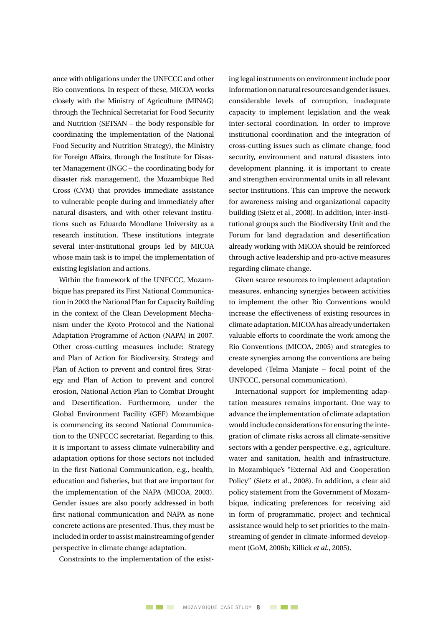ance with obligations under the UNFCCC and other Rio conventions. In respect of these, MICOA works closely with the Ministry of Agriculture (MINAG) through the Technical Secretariat for Food Security and Nutrition (SETSAN – the body responsible for coordinating the implementation of the National Food Security and Nutrition Strategy), the Ministry for Foreign Affairs, through the Institute for Disaster Management (INGC – the coordinating body for disaster risk management), the Mozambique Red Cross (CVM) that provides immediate assistance to vulnerable people during and immediately after natural disasters, and with other relevant institutions such as Eduardo Mondlane University as a research institution. These institutions integrate several inter-institutional groups led by MICOA whose main task is to impel the implementation of existing legislation and actions.

Within the framework of the UNFCCC, Mozambique has prepared its First National Communication in 2003 the National Plan for Capacity Building in the context of the Clean Development Mechanism under the Kyoto Protocol and the National Adaptation Programme of Action (NAPA) in 2007. Other cross-cutting measures include: Strategy and Plan of Action for Biodiversity, Strategy and Plan of Action to prevent and control fires, Strategy and Plan of Action to prevent and control erosion, National Action Plan to Combat Drought and Desertification. Furthermore, under the Global Environment Facility (GEF) Mozambique is commencing its second National Communication to the UNFCCC secretariat. Regarding to this, it is important to assess climate vulnerability and adaptation options for those sectors not included in the first National Communication, e.g., health, education and fisheries, but that are important for the implementation of the NAPA (MICOA, 2003). Gender issues are also poorly addressed in both first national communication and NAPA as none concrete actions are presented. Thus, they must be included in order to assist mainstreaming of gender perspective in climate change adaptation.

Constraints to the implementation of the exist-

ing legal instruments on environment include poor information on natural resources and gender issues, considerable levels of corruption, inadequate capacity to implement legislation and the weak inter-sectoral coordination. In order to improve institutional coordination and the integration of cross-cutting issues such as climate change, food security, environment and natural disasters into development planning, it is important to create and strengthen environmental units in all relevant sector institutions. This can improve the network for awareness raising and organizational capacity building (Sietz et al., 2008). In addition, inter-institutional groups such the Biodiversity Unit and the Forum for land degradation and desertification already working with MICOA should be reinforced through active leadership and pro-active measures regarding climate change.

Given scarce resources to implement adaptation measures, enhancing synergies between activities to implement the other Rio Conventions would increase the effectiveness of existing resources in climate adaptation.MICOAhas alreadyundertaken valuable efforts to coordinate the work among the Rio Conventions (MICOA, 2005) and strategies to create synergies among the conventions are being developed (Telma Manjate – focal point of the UNFCCC, personal communication).

International support for implementing adaptation measures remains important. One way to advance the implementation of climate adaptation would include considerations for ensuring the integration of climate risks across all climate-sensitive sectors with a gender perspective, e.g., agriculture, water and sanitation, health and infrastructure, in Mozambique's "External Aid and Cooperation Policy" (Sietz et al., 2008). In addition, a clear aid policy statement from the Government of Mozambique, indicating preferences for receiving aid in form of programmatic, project and technical assistance would help to set priorities to the mainstreaming of gender in climate-informed development (GoM, 2006b; Killick *et al*., 2005).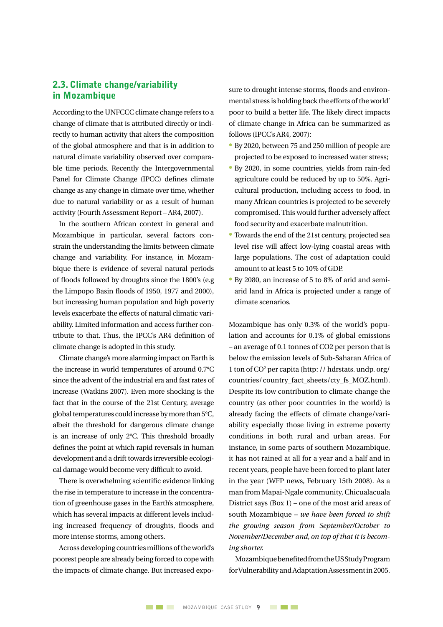#### 2.3. Climate change/variability in Mozambique

According to the UNFCCC climate change refers to a change of climate that is attributed directly or indirectly to human activity that alters the composition of the global atmosphere and that is in addition to natural climate variability observed over comparable time periods. Recently the Intergovernmental Panel for Climate Change (IPCC) defines climate change as any change in climate over time, whether due to natural variability or as a result of human activity (Fourth Assessment Report – AR4, 2007).

In the southern African context in general and Mozambique in particular, several factors constrain the understanding the limits between climate change and variability. For instance, in Mozambique there is evidence of several natural periods of floods followed by droughts since the 1800's (e.g the Limpopo Basin floods of 1950, 1977 and 2000), but increasing human population and high poverty levels exacerbate the effects of natural climatic variability. Limited information and access further contribute to that. Thus, the IPCC's AR4 definition of climate change is adopted in this study.

Climate change's more alarming impact on Earth is the increase in world temperatures of around 0.7°C since the advent of the industrial era and fast rates of increase (Watkins 2007). Even more shocking is the fact that in the course of the 21st Century, average global temperatures could increase by more than  $5^{\circ}$ C, albeit the threshold for dangerous climate change is an increase of only 2°C. This threshold broadly defines the point at which rapid reversals in human development and a drift towards irreversible ecological damage would become very difficult to avoid.

There is overwhelming scientific evidence linking the rise in temperature to increase in the concentration of greenhouse gases in the Earth's atmosphere, which has several impacts at different levels including increased frequency of droughts, floods and more intense storms, among others.

Across developing countries millions of the world's poorest people are already being forced to cope with the impacts of climate change. But increased exposure to drought intense storms, floods and environmental stress is holding back the efforts of the world' poor to build a better life. The likely direct impacts of climate change in Africa can be summarized as follows (IPCC's AR4, 2007):

- By 2020, between 75 and 250 million of people are projected to be exposed to increased water stress;
- By 2020, in some countries, yields from rain-fed agriculture could be reduced by up to 50%. Agricultural production, including access to food, in many African countries is projected to be severely compromised. This would further adversely affect food security and exacerbate malnutrition.
- Towards the end of the 21st century, projected sea level rise will affect low-lying coastal areas with large populations. The cost of adaptation could amount to at least 5 to 10% of GDP.
- By 2080, an increase of 5 to 8% of arid and semiarid land in Africa is projected under a range of climate scenarios.

Mozambique has only 0.3% of the world's population and accounts for 0.1% of global emissions – an average of 0.1 tonnes of CO2 per person that is below the emission levels of Sub-Saharan Africa of 1 ton of CO2 per capita (http: // hdrstats. undp. org/ countries/country\_fact\_sheets/cty\_fs\_MOZ.html). Despite its low contribution to climate change the country (as other poor countries in the world) is already facing the effects of climate change/variability especially those living in extreme poverty conditions in both rural and urban areas. For instance, in some parts of southern Mozambique, it has not rained at all for a year and a half and in recent years, people have been forced to plant later in the year (WFP news, February 15th 2008). As a man from Mapai-Ngale community, Chicualacuala District says (Box 1) – one of the most arid areas of south Mozambique – *we have been forced to shift the growing season from September/October to November/December and, on top of that it is becoming shorter.* 

MozambiquebenefitedfromtheUSStudyProgram for Vulnerability and Adaptation Assessment in 2005.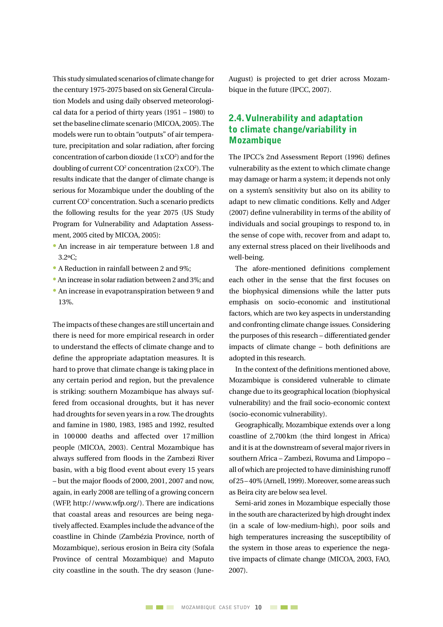This study simulated scenarios of climate change for the century 1975-2075 based on six General Circulation Models and using daily observed meteorological data for a period of thirty years (1951 – 1980) to set the baseline climate scenario (MICOA, 2005). The models were run to obtain "outputs" of air temperature, precipitation and solar radiation, after forcing concentration of carbon dioxide  $(1 \times CO<sup>2</sup>)$  and for the doubling of current  $CO<sup>2</sup>$  concentration (2 x  $CO<sup>2</sup>$ ). The results indicate that the danger of climate change is serious for Mozambique under the doubling of the current CO2 concentration. Such a scenario predicts the following results for the year 2075 (US Study Program for Vulnerability and Adaptation Assessment, 2005 cited by MICOA, 2005):

- An increase in air temperature between 1.8 and 3.2ºC;
- A Reduction in rainfall between 2 and 9%;
- An increase in solar radiation between 2 and 3%; and
- An increase in evapotranspiration between 9 and 13%.

The impacts of these changes are still uncertain and there is need for more empirical research in order to understand the effects of climate change and to define the appropriate adaptation measures. It is hard to prove that climate change is taking place in any certain period and region, but the prevalence is striking: southern Mozambique has always suffered from occasional droughts, but it has never had droughts for seven years in a row.The droughts and famine in 1980, 1983, 1985 and 1992, resulted in 100000 deaths and affected over 17million people (MICOA, 2003). Central Mozambique has always suffered from floods in the Zambezi River basin, with a big flood event about every 15 years – but the major floods of 2000, 2001, 2007 and now, again, in early 2008 are telling of a growing concern (WFP, http://www.wfp.org/). There are indications that coastal areas and resources are being negatively affected. Examples include the advance of the coastline in Chinde (Zambézia Province, north of Mozambique), serious erosion in Beira city (Sofala Province of central Mozambique) and Maputo city coastline in the south. The dry season (JuneAugust) is projected to get drier across Mozambique in the future (IPCC, 2007).

#### 2.4. Vulnerability and adaptation to climate change/variability in **Mozambique**

The IPCC's 2nd Assessment Report (1996) defines vulnerability as the extent to which climate change may damage or harm a system; it depends not only on a system's sensitivity but also on its ability to adapt to new climatic conditions. Kelly and Adger (2007) define vulnerability in terms of the ability of individuals and social groupings to respond to, in the sense of cope with, recover from and adapt to, any external stress placed on their livelihoods and well-being.

The afore-mentioned definitions complement each other in the sense that the first focuses on the biophysical dimensions while the latter puts emphasis on socio-economic and institutional factors, which are two key aspects in understanding and confronting climate change issues. Considering the purposes of this research – differentiated gender impacts of climate change – both definitions are adopted in this research.

In the context of the definitions mentioned above, Mozambique is considered vulnerable to climate change due to its geographical location (biophysical vulnerability) and the frail socio-economic context (socio-economic vulnerability).

Geographically, Mozambique extends over a long coastline of 2,700km (the third longest in Africa) and it is at the downstream of several major rivers in southern Africa – Zambezi, Rovuma and Limpopo – all of which are projected to have diminishing runoff of 25– 40% (Arnell, 1999).Moreover, some areas such as Beira city are below sea level.

Semi-arid zones in Mozambique especially those in the south are characterized by high drought index (in a scale of low-medium-high), poor soils and high temperatures increasing the susceptibility of the system in those areas to experience the negative impacts of climate change (MICOA, 2003, FAO, 2007).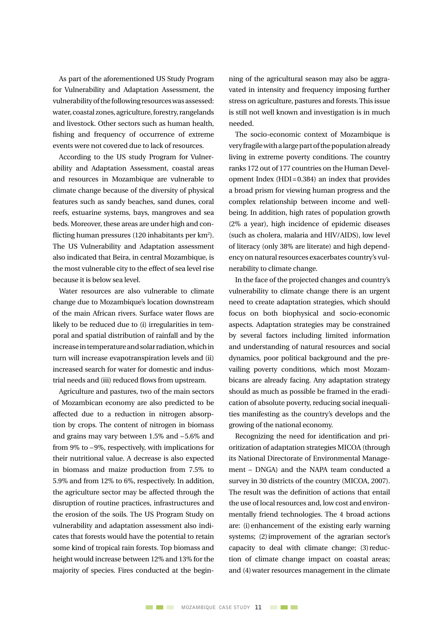As part of the aforementioned US Study Program for Vulnerability and Adaptation Assessment, the vulnerability of the following resources was assessed: water, coastal zones, agriculture, forestry, rangelands and livestock. Other sectors such as human health, fishing and frequency of occurrence of extreme events were not covered due to lack of resources.

According to the US study Program for Vulnerability and Adaptation Assessment, coastal areas and resources in Mozambique are vulnerable to climate change because of the diversity of physical features such as sandy beaches, sand dunes, coral reefs, estuarine systems, bays, mangroves and sea beds. Moreover, these areas are under high and conflicting human pressures (120 inhabitants per km<sup>2</sup>). The US Vulnerability and Adaptation assessment also indicated that Beira, in central Mozambique, is the most vulnerable city to the effect of sea level rise because it is below sea level.

Water resources are also vulnerable to climate change due to Mozambique's location downstream of the main African rivers. Surface water flows are likely to be reduced due to (i) irregularities in temporal and spatial distribution of rainfall and by the increaseintemperatureandsolarradiation,whichin turn will increase evapotranspiration levels and (ii) increased search for water for domestic and industrial needs and (iii) reduced flows from upstream.

Agriculture and pastures, two of the main sectors of Mozambican economy are also predicted to be affected due to a reduction in nitrogen absorption by crops. The content of nitrogen in biomass and grains may vary between 1.5% and –5.6% and from 9% to –9%, respectively, with implications for their nutritional value. A decrease is also expected in biomass and maize production from 7.5% to 5.9% and from 12% to 6%, respectively. In addition, the agriculture sector may be affected through the disruption of routine practices, infrastructures and the erosion of the soils. The US Program Study on vulnerability and adaptation assessment also indicates that forests would have the potential to retain some kind of tropical rain forests. Top biomass and height would increase between 12% and 13% forthe majority of species. Fires conducted at the beginning of the agricultural season may also be aggravated in intensity and frequency imposing further stress on agriculture, pastures and forests.This issue is still not well known and investigation is in much needed.

The socio-economic context of Mozambique is very fragile with a large part of the population already living in extreme poverty conditions. The country ranks 172 out of 177 countries on the Human Development Index (HDI=0.384) an index that provides a broad prism for viewing human progress and the complex relationship between income and wellbeing. In addition, high rates of population growth (2% a year), high incidence of epidemic diseases (such as cholera, malaria and HIV/AIDS), low level of literacy (only 38% are literate) and high dependency on natural resources exacerbates country's vulnerability to climate change.

In the face of the projected changes and country's vulnerability to climate change there is an urgent need to create adaptation strategies, which should focus on both biophysical and socio-economic aspects. Adaptation strategies may be constrained by several factors including limited information and understanding of natural resources and social dynamics, poor political background and the prevailing poverty conditions, which most Mozambicans are already facing. Any adaptation strategy should as much as possible be framed in the eradication of absolute poverty, reducing social inequalities manifesting as the country's develops and the growing of the national economy.

Recognizing the need for identification and prioritization of adaptation strategies MICOA (through its National Directorate of Environmental Management – DNGA) and the NAPA team conducted a survey in 30 districts of the country (MICOA, 2007). The result was the definition of actions that entail the use of local resources and, low cost and environmentally friend technologies. The 4 broad actions are: (i)enhancement of the existing early warning systems; (2)improvement of the agrarian sector's capacity to deal with climate change; (3)reduction of climate change impact on coastal areas; and (4)water resources management in the climate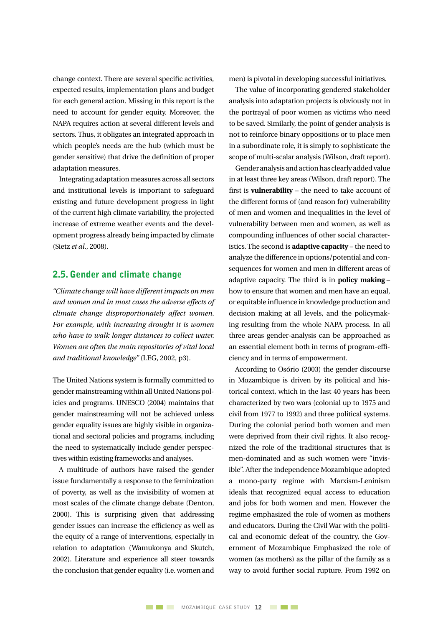change context. There are several specific activities, expected results, implementation plans and budget for each general action. Missing in this report is the need to account for gender equity. Moreover, the NAPA requires action at several different levels and sectors. Thus, it obligates an integrated approach in which people's needs are the hub (which must be gender sensitive) that drive the definition of proper adaptation measures.

Integrating adaptation measures across all sectors and institutional levels is important to safeguard existing and future development progress in light of the current high climate variability, the projected increase of extreme weather events and the development progress already being impacted by climate (Sietz *et al*., 2008).

#### 2.5. Gender and climate change

*"Climate change will have different impacts on men and women and in most cases the adverse effects of climate change disproportionately affect women. For example, with increasing drought it is women who have to walk longer distances to collect water. Women are often the main repositories of vital local and traditional knowledge"* (LEG, 2002, p3).

The United Nations system is formally committed to gender mainstreaming within all United Nations policies and programs. UNESCO (2004) maintains that gender mainstreaming will not be achieved unless gender equality issues are highly visible in organizational and sectoral policies and programs, including the need to systematically include gender perspectives within existing frameworks and analyses.

A multitude of authors have raised the gender issue fundamentally a response to the feminization of poverty, as well as the invisibility of women at most scales of the climate change debate (Denton, 2000). This is surprising given that addressing gender issues can increase the efficiency as well as the equity of a range of interventions, especially in relation to adaptation (Wamukonya and Skutch, 2002). Literature and experience all steer towards the conclusion that gender equality (i.e. women and

men) is pivotal in developing successful initiatives.

The value of incorporating gendered stakeholder analysis into adaptation projects is obviously not in the portrayal of poor women as victims who need to be saved. Similarly, the point of gender analysis is not to reinforce binary oppositions or to place men in a subordinate role, it is simply to sophisticate the scope of multi-scalar analysis (Wilson, draft report).

Gender analysis and action has clearly added value in at least three key areas (Wilson, draft report). The first is **vulnerability** – the need to take account of the different forms of (and reason for) vulnerability of men and women and inequalities in the level of vulnerability between men and women, as well as compounding influences of other social characteristics. The second is **adaptive capacity** – the need to analyze the difference in options/potential and consequences for women and men in different areas of adaptive capacity. The third is in **policy making** – how to ensure that women and men have an equal, or equitable influence in knowledge production and decision making at all levels, and the policymaking resulting from the whole NAPA process. In all three areas gender-analysis can be approached as an essential element both in terms of program-efficiency and in terms of empowerment.

According to Osório (2003) the gender discourse in Mozambique is driven by its political and historical context, which in the last 40 years has been characterized by two wars (colonial up to 1975 and civil from 1977 to 1992) and three political systems. During the colonial period both women and men were deprived from their civil rights. It also recognized the role of the traditional structures that is men-dominated and as such women were "invisible". After the independence Mozambique adopted a mono-party regime with Marxism-Leninism ideals that recognized equal access to education and jobs for both women and men. However the regime emphasized the role of women as mothers and educators. During the Civil War with the political and economic defeat of the country, the Government of Mozambique Emphasized the role of women (as mothers) as the pillar of the family as a way to avoid further social rupture. From 1992 on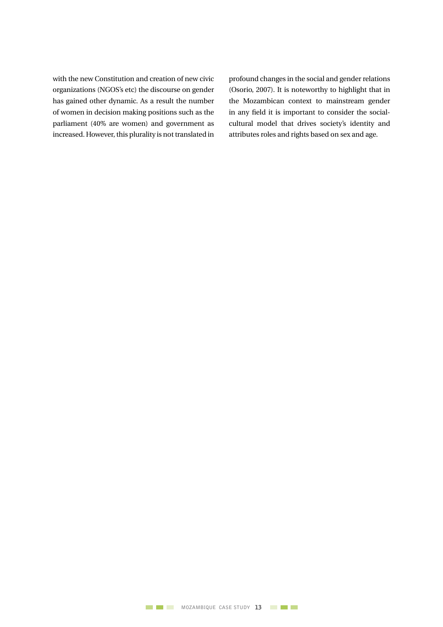with the new Constitution and creation of new civic organizations (NGOS's etc) the discourse on gender has gained other dynamic. As a result the number of women in decision making positions such as the parliament (40% are women) and government as increased. However, this plurality is not translated in profound changes in the social and gender relations (Osorio, 2007). It is noteworthy to highlight that in the Mozambican context to mainstream gender in any field it is important to consider the socialcultural model that drives society's identity and attributes roles and rights based on sex and age.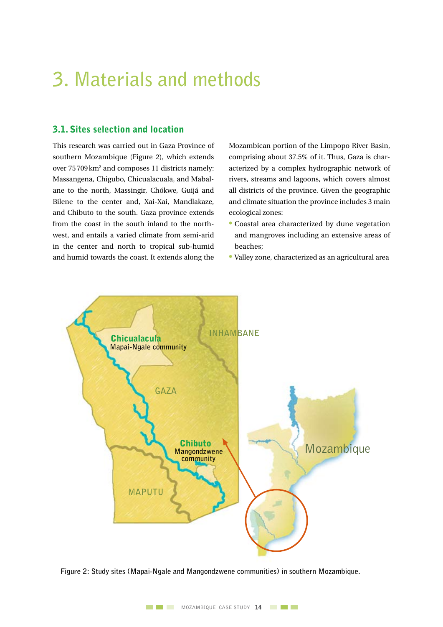## **3. Materials and methods**

#### 3.1. Sites selection and location

This research was carried out in Gaza Province of southern Mozambique (Figure 2), which extends over 75709km2 and composes 11 districts namely: Massangena, Chigubo, Chicualacuala, and Mabalane to the north, Massingir, Chókwe, Guijá and Bilene to the center and, Xai-Xai, Mandlakaze, and Chibuto to the south. Gaza province extends from the coast in the south inland to the northwest, and entails a varied climate from semi-arid in the center and north to tropical sub-humid and humid towards the coast. It extends along the

Mozambican portion of the Limpopo River Basin, comprising about 37.5% of it. Thus, Gaza is characterized by a complex hydrographic network of rivers, streams and lagoons, which covers almost all districts of the province. Given the geographic and climate situation the province includes 3 main ecological zones:

- Coastal area characterized by dune vegetation and mangroves including an extensive areas of beaches;
- Valley zone, characterized as an agricultural area



**Figure 2: Study sites (Mapai-Ngale and Mangondzwene communities) in southern Mozambique.**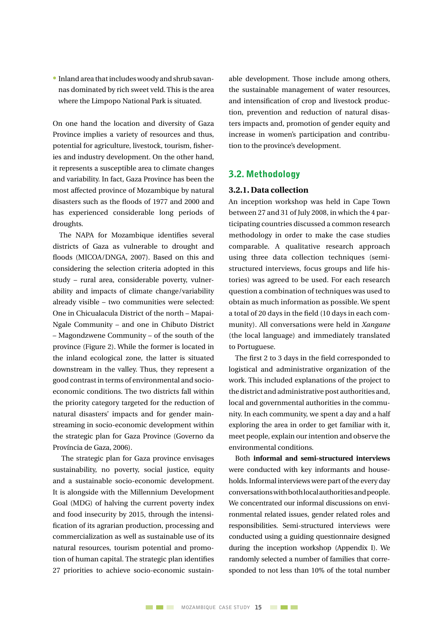• Inland area thatincludeswoody and shrub savannas dominated by rich sweet veld. This is the area where the Limpopo National Park is situated.

On one hand the location and diversity of Gaza Province implies a variety of resources and thus, potential for agriculture, livestock, tourism, fisheries and industry development. On the other hand, it represents a susceptible area to climate changes and variability. In fact, Gaza Province has been the most affected province of Mozambique by natural disasters such as the floods of 1977 and 2000 and has experienced considerable long periods of droughts.

The NAPA for Mozambique identifies several districts of Gaza as vulnerable to drought and floods (MICOA/DNGA, 2007). Based on this and considering the selection criteria adopted in this study – rural area, considerable poverty, vulnerability and impacts of climate change/variability already visible – two communities were selected: One in Chicualacula District of the north – Mapai-Ngale Community – and one in Chibuto District – Magondzwene Community – of the south of the province (Figure 2). While the former is located in the inland ecological zone, the latter is situated downstream in the valley. Thus, they represent a good contrastin terms of environmental and socioeconomic conditions. The two districts fall within the priority category targeted for the reduction of natural disasters' impacts and for gender mainstreaming in socio-economic development within the strategic plan for Gaza Province (Governo da Província de Gaza, 2006).

The strategic plan for Gaza province envisages sustainability, no poverty, social justice, equity and a sustainable socio-economic development. It is alongside with the Millennium Development Goal (MDG) of halving the current poverty index and food insecurity by 2015, through the intensification of its agrarian production, processing and commercialization as well as sustainable use of its natural resources, tourism potential and promotion of human capital. The strategic plan identifies 27 priorities to achieve socio-economic sustainable development. Those include among others, the sustainable management of water resources, and intensification of crop and livestock production, prevention and reduction of natural disasters impacts and, promotion of gender equity and increase in women's participation and contribution to the province's development.

#### 3.2. Methodology

#### **3.2.1. Data collection**

An inception workshop was held in Cape Town between 27 and 31 of July 2008, in which the 4 participating countries discussed a common research methodology in order to make the case studies comparable. A qualitative research approach using three data collection techniques (semistructured interviews, focus groups and life histories) was agreed to be used. For each research question a combination of techniques was used to obtain as much information as possible. We spent a total of 20 days in the field (10 days in each community). All conversations were held in *Xangane* (the local language) and immediately translated to Portuguese.

The first 2 to 3 days in the field corresponded to logistical and administrative organization of the work. This included explanations of the project to the district and administrative post authorities and, local and governmental authorities in the community. In each community, we spent a day and a half exploring the area in order to get familiar with it, meet people, explain our intention and observe the environmental conditions.

Both **informal and semi-structured interviews**  were conducted with key informants and households. Informal interviews were part of the every day conversationswithbothlocalauthoritiesandpeople. We concentrated our informal discussions on environmental related issues, gender related roles and responsibilities. Semi-structured interviews were conducted using a guiding questionnaire designed during the inception workshop (Appendix I). We randomly selected a number of families that corresponded to not less than 10% of the total number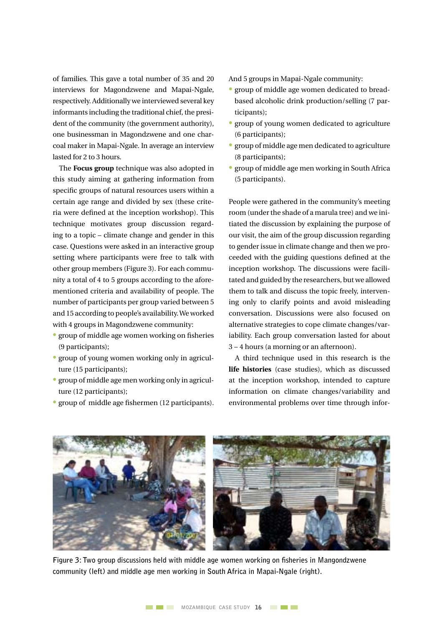of families. This gave a total number of 35 and 20 interviews for Magondzwene and Mapai-Ngale, respectively. Additionally we interviewed several key informants including the traditional chief, the president of the community (the government authority), one businessman in Magondzwene and one charcoal maker in Mapai-Ngale. In average an interview lasted for 2 to 3 hours.

The **Focus group** technique was also adopted in this study aiming at gathering information from specific groups of natural resources users within a certain age range and divided by sex (these criteria were defined at the inception workshop). This technique motivates group discussion regarding to a topic – climate change and gender in this case. Questions were asked in an interactive group setting where participants were free to talk with other group members (Figure 3). For each community a total of 4 to 5 groups according to the aforementioned criteria and availability of people. The number of participants per group varied between 5 and 15 according to people's availability.We worked with 4 groups in Magondzwene community:

- group of middle age women working on fisheries (9 participants);
- group of young women working only in agriculture (15 participants);
- group of middle age men working only in agriculture (12 participants);
- group of middle age fishermen (12 participants).

And 5 groups in Mapai-Ngale community:

- group of middle age women dedicated to breadbased alcoholic drink production/selling (7 participants);
- group of young women dedicated to agriculture (6 participants);
- group of middle age men dedicated to agriculture (8 participants);
- group of middle age men working in South Africa (5 participants).

People were gathered in the community's meeting room (under the shade of a marula tree) and we initiated the discussion by explaining the purpose of our visit, the aim of the group discussion regarding to gender issue in climate change and then we proceeded with the guiding questions defined at the inception workshop. The discussions were facilitated and guided by the researchers, but we allowed them to talk and discuss the topic freely, intervening only to clarify points and avoid misleading conversation. Discussions were also focused on alternative strategies to cope climate changes/variability. Each group conversation lasted for about  $3 - 4$  hours (a morning or an afternoon).

A third technique used in this research is the **life histories** (case studies), which as discussed at the inception workshop, intended to capture information on climate changes/variability and environmental problems over time through infor-



**Figure 3: Two group discussions held with middle age women working on fisheries in Mangondzwene community (left) and middle age men working in South Africa in Mapai-Ngale (right).**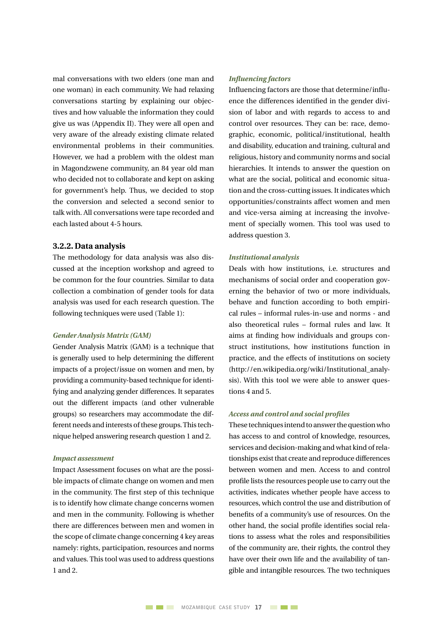mal conversations with two elders (one man and one woman) in each community. We had relaxing conversations starting by explaining our objectives and how valuable the information they could give us was (Appendix II). They were all open and very aware of the already existing climate related environmental problems in their communities. However, we had a problem with the oldest man in Magondzwene community, an 84 year old man who decided not to collaborate and kept on asking for government's help. Thus, we decided to stop the conversion and selected a second senior to talk with. All conversations were tape recorded and each lasted about 4-5 hours.

#### **3.2.2. Data analysis**

The methodology for data analysis was also discussed at the inception workshop and agreed to be common for the four countries. Similar to data collection a combination of gender tools for data analysis was used for each research question. The following techniques were used (Table 1):

#### *Gender Analysis Matrix (GAM)*

Gender Analysis Matrix (GAM) is a technique that is generally used to help determining the different impacts of a project/issue on women and men, by providing a community-based technique for identifying and analyzing gender differences. It separates out the different impacts (and other vulnerable groups) so researchers may accommodate the different needs and interests of these groups. This technique helped answering research question 1 and 2.

#### *Impact assessment*

Impact Assessment focuses on what are the possible impacts of climate change on women and men in the community. The first step of this technique is to identify how climate change concerns women and men in the community. Following is whether there are differences between men and women in the scope of climate change concerning 4 key areas namely: rights, participation, resources and norms and values. This tool was used to address questions 1 and 2.

#### *Influencing factors*

Influencing factors are those that determine/influence the differences identified in the gender division of labor and with regards to access to and control over resources. They can be: race, demographic, economic, political/institutional, health and disability, education and training, cultural and religious, history and community norms and social hierarchies. It intends to answer the question on what are the social, political and economic situation and the cross-cutting issues. It indicates which opportunities/constraints affect women and men and vice-versa aiming at increasing the involvement of specially women. This tool was used to address question 3.

#### *Institutional analysis*

Deals with how institutions, i.e. structures and mechanisms of social order and cooperation governing the behavior of two or more individuals, behave and function according to both empirical rules – informal rules-in-use and norms - and also theoretical rules – formal rules and law. It aims at finding how individuals and groups construct institutions, how institutions function in practice, and the effects of institutions on society (http://en.wikipedia.org/wiki/Institutional\_analysis). With this tool we were able to answer questions 4 and 5.

#### *Access and control and social profiles*

These techniques intend to answer the question who has access to and control of knowledge, resources, services and decision-making and what kind of relationships exist that create and reproduce differences between women and men. Access to and control profile lists the resources people use to carry out the activities, indicates whether people have access to resources, which control the use and distribution of benefits of a community's use of resources. On the other hand, the social profile identifies social relations to assess what the roles and responsibilities of the community are, their rights, the control they have over their own life and the availability of tangible and intangible resources. The two techniques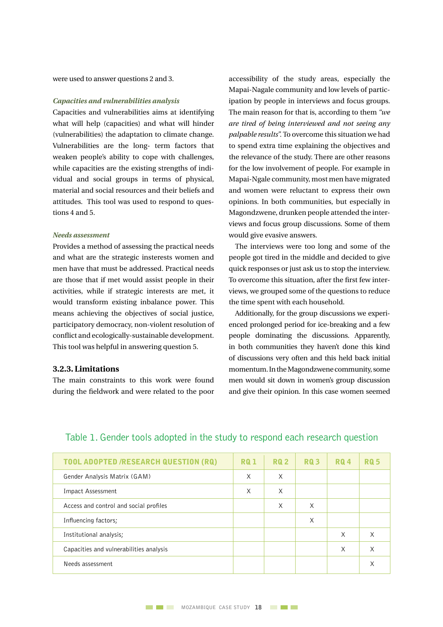were used to answer questions 2 and 3.

#### *Capacities and vulnerabilities analysis*

Capacities and vulnerabilities aims at identifying what will help (capacities) and what will hinder (vulnerabilities) the adaptation to climate change. Vulnerabilities are the long- term factors that weaken people's ability to cope with challenges, while capacities are the existing strengths of individual and social groups in terms of physical, material and social resources and their beliefs and attitudes. This tool was used to respond to questions 4 and 5.

#### *Needs assessment*

Provides a method of assessing the practical needs and what are the strategic insterests women and men have that must be addressed. Practical needs are those that if met would assist people in their activities, while if strategic interests are met, it would transform existing inbalance power. This means achieving the objectives of social justice, participatory democracy, non-violent resolution of conflict and ecologically-sustainable development. This tool was helpful in answering question 5.

#### **3.2.3. Limitations**

The main constraints to this work were found during the fieldwork and were related to the poor accessibility of the study areas, especially the Mapai-Nagale community and low levels of participation by people in interviews and focus groups. The main reason for that is, according to them *"we are tired of being interviewed and not seeing any palpable results".*To overcome this situation we had to spend extra time explaining the objectives and the relevance of the study. There are other reasons for the low involvement of people. For example in Mapai-Ngale community, most men have migrated and women were reluctant to express their own opinions. In both communities, but especially in Magondzwene, drunken people attended the interviews and focus group discussions. Some of them would give evasive answers.

The interviews were too long and some of the people got tired in the middle and decided to give quick responses or just ask us to stop the interview. To overcome this situation, after the first few interviews, we grouped some of the questions to reduce the time spent with each household.

Additionally, for the group discussions we experienced prolonged period for ice-breaking and a few people dominating the discussions. Apparently, in both communities they haven't done this kind of discussions very often and this held back initial momentum. In the Magondzwene community, some men would sit down in women's group discussion and give their opinion. In this case women seemed

| <b>TOOL ADOPTED /RESEARCH QUESTION (RQ)</b> | <b>RQ1</b> | <b>RQ 2</b> | <b>RQ3</b> | <b>RQ4</b> | <b>RQ 5</b> |
|---------------------------------------------|------------|-------------|------------|------------|-------------|
| Gender Analysis Matrix (GAM)                | X          | X           |            |            |             |
| Impact Assessment                           | X          | X           |            |            |             |
| Access and control and social profiles      |            | X           | X          |            |             |
| Influencing factors;                        |            |             | X          |            |             |
| Institutional analysis;                     |            |             |            | $\times$   | X           |
| Capacities and vulnerabilities analysis     |            |             |            | $\times$   | X           |
| Needs assessment                            |            |             |            |            | X           |
|                                             |            |             |            |            |             |

#### Table 1. Gender tools adopted in the study to respond each research question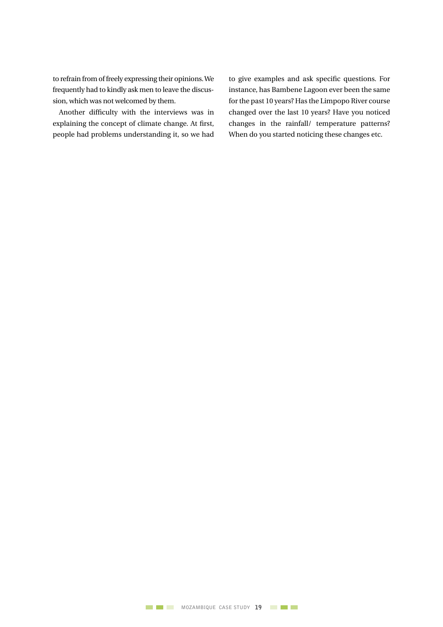to refrain from of freely expressing their opinions.We frequently had to kindly ask men to leave the discussion, which was not welcomed by them.

Another difficulty with the interviews was in explaining the concept of climate change. At first, people had problems understanding it, so we had to give examples and ask specific questions. For instance, has Bambene Lagoon ever been the same for the past 10 years? Has the Limpopo River course changed over the last 10 years? Have you noticed changes in the rainfall/ temperature patterns? When do you started noticing these changes etc.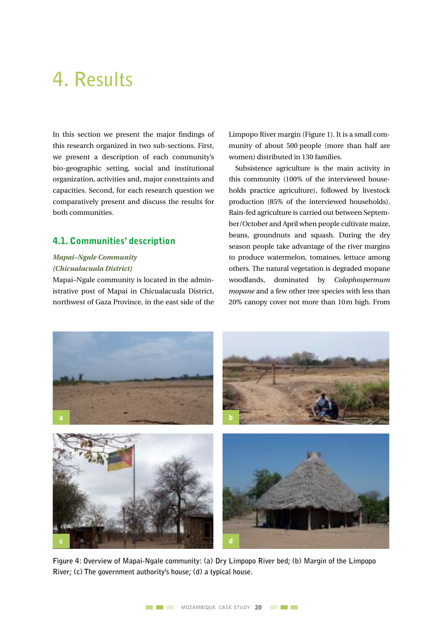### **4. Results**

In this section we present the major findings of this research organized in two sub-sections. First, we present a description of each community's bio-geographic setting, social and institutional organization, activities and, major constraints and capacities. Second, for each research question we comparatively present and discuss the results for both communities.

#### 4.1. Communities' description

#### *Mapai–Ngale Community (Chicualacuala District)*

Mapai–Ngale community is located in the administrative post of Mapai in Chicualacuala District, northwest of Gaza Province, in the east side of the Limpopo River margin (Figure 1). It is a small community of about 500 people (more than half are women) distributed in 130 families.

Subsistence agriculture is the main activity in this community (100% of the interviewed households practice agriculture), followed by livestock production (85% of the interviewed households). Rain-fed agriculture is carried out between September/October and April when people cultivate maize, beans, groundnuts and squash. During the dry season people take advantage of the river margins to produce watermelon, tomatoes, lettuce among others. The natural vegetation is degraded mopane woodlands, dominated by *Colophospermum mopane* and a few other tree species with less than 20% canopy cover not more than 10m high. From



**Figure 4: Overview of Mapai-Ngale community: (a) Dry Limpopo River bed; (b) Margin of the Limpopo River; (c) The government authority's house; (d) a typical house.**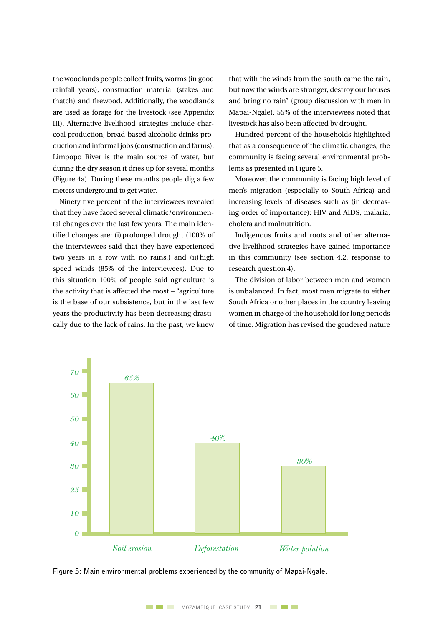the woodlands people collect fruits, worms (in good rainfall years), construction material (stakes and thatch) and firewood. Additionally, the woodlands are used as forage for the livestock (see Appendix III). Alternative livelihood strategies include charcoal production, bread-based alcoholic drinks production and informal jobs (construction and farms). Limpopo River is the main source of water, but during the dry season it dries up for several months (Figure 4a). During these months people dig a few meters underground to get water.

Ninety five percent of the interviewees revealed that they have faced several climatic/environmental changes over the last few years. The main identified changes are: (i) prolonged drought (100% of the interviewees said that they have experienced two years in a row with no rains,) and (ii)high speed winds (85% of the interviewees). Due to this situation 100% of people said agriculture is the activity that is affected the most – "agriculture is the base of our subsistence, but in the last few years the productivity has been decreasing drastically due to the lack of rains. In the past, we knew

that with the winds from the south came the rain, but now the winds are stronger, destroy our houses and bring no rain" (group discussion with men in Mapai-Ngale). 55% of the interviewees noted that livestock has also been affected by drought.

Hundred percent of the households highlighted that as a consequence of the climatic changes, the community is facing several environmental problems as presented in Figure 5.

Moreover, the community is facing high level of men's migration (especially to South Africa) and increasing levels of diseases such as (in decreasing order of importance): HIV and AIDS, malaria, cholera and malnutrition.

Indigenous fruits and roots and other alternative livelihood strategies have gained importance in this community (see section 4.2. response to research question 4).

The division of labor between men and women is unbalanced. In fact, most men migrate to either South Africa or other places in the country leaving women in charge of the household for long periods of time. Migration has revised the gendered nature



**Figure 5: Main environmental problems experienced by the community of Mapai-Ngale.**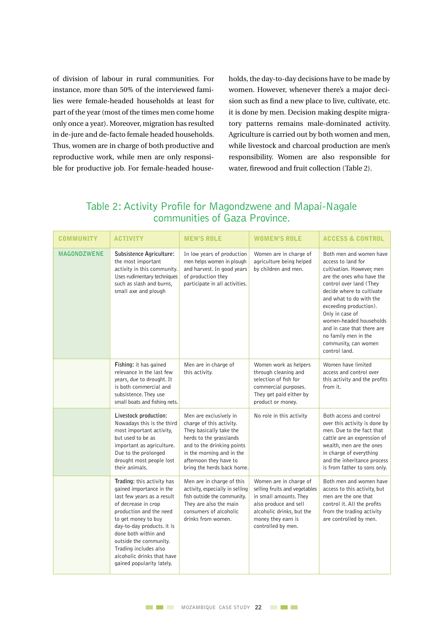of division of labour in rural communities. For instance, more than 50% of the interviewed families were female-headed households at least for part of the year (most of the times men come home only once a year). Moreover, migration has resulted in de-jure and de-facto female headed households. Thus, women are in charge of both productive and reproductive work, while men are only responsible for productive job. For female-headed households, the day-to-day decisions have to be made by women. However, whenever there's a major decision such as find a new place to live, cultivate, etc. it is done by men. Decision making despite migratory patterns remains male-dominated activity. Agriculture is carried out by both women and men, while livestock and charcoal production are men's responsibility. Women are also responsible for water, firewood and fruit collection (Table 2).

#### Table 2: Activity Profile for Magondzwene and Mapai-Nagale communities of Gaza Province.

| <b>COMMUNITY</b>   | ACTIVITY                                                                                                                                                                                                                                                                                                                          | <b>MEN'S ROLE</b>                                                                                                                                                                                                           | <b>WOMEN'S ROLE</b>                                                                                                                                                                 | <b>ACCESS &amp; CONTROL</b>                                                                                                                                                                                                                                                                                                                                       |
|--------------------|-----------------------------------------------------------------------------------------------------------------------------------------------------------------------------------------------------------------------------------------------------------------------------------------------------------------------------------|-----------------------------------------------------------------------------------------------------------------------------------------------------------------------------------------------------------------------------|-------------------------------------------------------------------------------------------------------------------------------------------------------------------------------------|-------------------------------------------------------------------------------------------------------------------------------------------------------------------------------------------------------------------------------------------------------------------------------------------------------------------------------------------------------------------|
| <b>MAGONDZWENE</b> | Subsistence Agriculture:<br>the most important<br>activity in this community.<br>Uses rudimentary techniques<br>such as slash and burns,<br>small axe and plough                                                                                                                                                                  | In low years of production<br>men helps women in plough<br>and harvest. In good years<br>of production they<br>participate in all activities.                                                                               | Women are in charge of<br>agriculture being helped<br>by children and men.                                                                                                          | Both men and women have<br>access to land for<br>cultivation. However, men<br>are the ones who have the<br>control over land (They<br>decide where to cultivate<br>and what to do with the<br>exceeding production).<br>Only in case of<br>women-headed households<br>and in case that there are<br>no family men in the<br>community, can women<br>control land. |
|                    | Fishing: it has gained<br>relevance in the last few<br>years, due to drought. It<br>is both commercial and<br>subsistence. They use<br>small boats and fishing nets.                                                                                                                                                              | Men are in charge of<br>this activity.                                                                                                                                                                                      | Women work as helpers<br>through cleaning and<br>selection of fish for<br>commercial purposes.<br>They get paid either by<br>product or money.                                      | Women have limited<br>access and control over<br>this activity and the profits<br>from it.                                                                                                                                                                                                                                                                        |
|                    | Livestock production:<br>Nowadays this is the third<br>most important activity,<br>but used to be as<br>important as agriculture.<br>Due to the prolonged<br>drought most people lost<br>their animals.                                                                                                                           | Men are exclusively in<br>charge of this activity.<br>They basically take the<br>herds to the grasslands<br>and to the drinking points<br>in the morning and in the<br>afternoon they have to<br>bring the herds back home. | No role in this activity                                                                                                                                                            | Both access and control<br>over this activity is done by<br>men. Due to the fact that<br>cattle are an expression of<br>wealth, men are the ones<br>in charge of everything<br>and the inheritance process<br>is from father to sons only.                                                                                                                        |
|                    | Trading: this activity has<br>gained importance in the<br>last few years as a result<br>of decrease in crop<br>production and the need<br>to get money to buy<br>day-to-day products. it is<br>done both within and<br>outside the community.<br>Trading includes also<br>alcoholic drinks that have<br>gained popularity lately. | Men are in charge of this<br>activity, especially in selling<br>fish outside the community.<br>They are also the main<br>consumers of alcoholic<br>drinks from women.                                                       | Women are in charge of<br>selling fruits and vegetables<br>in small amounts. They<br>also produce and sell<br>alcoholic drinks, but the<br>money they earn is<br>controlled by men. | Both men and women have<br>access to this activity, but<br>men are the one that<br>control it. All the profits<br>from the trading activity<br>are controlled by men.                                                                                                                                                                                             |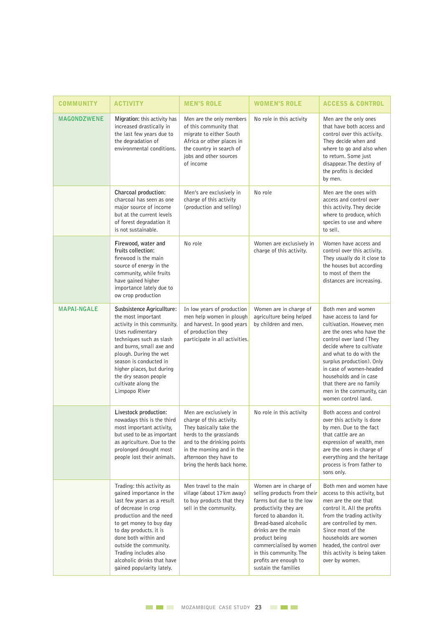| <b>COMMUNITY</b>   | <b>ACTIVITY</b>                                                                                                                                                                                                                                                                                                                  | <b>MEN'S ROLE</b>                                                                                                                                                                                                           | <b>WOMEN'S ROLE</b>                                                                                                                                                                                                                                                                                        | <b>ACCESS &amp; CONTROL</b>                                                                                                                                                                                                                                                                                                                                  |
|--------------------|----------------------------------------------------------------------------------------------------------------------------------------------------------------------------------------------------------------------------------------------------------------------------------------------------------------------------------|-----------------------------------------------------------------------------------------------------------------------------------------------------------------------------------------------------------------------------|------------------------------------------------------------------------------------------------------------------------------------------------------------------------------------------------------------------------------------------------------------------------------------------------------------|--------------------------------------------------------------------------------------------------------------------------------------------------------------------------------------------------------------------------------------------------------------------------------------------------------------------------------------------------------------|
| <b>MAGONDZWENE</b> | Migration: this activity has<br>increased drastically in<br>the last few years due to<br>the degradation of<br>environmental conditions.                                                                                                                                                                                         | Men are the only members<br>of this community that<br>migrate to either South<br>Africa or other places in<br>the country in search of<br>jobs and other sources<br>of income                                               | No role in this activity                                                                                                                                                                                                                                                                                   | Men are the only ones<br>that have both access and<br>control over this activity.<br>They decide when and<br>where to go and also when<br>to return. Some just<br>disappear. The destiny of<br>the profits is decided<br>by men.                                                                                                                             |
|                    | Charcoal production:<br>charcoal has seen as one<br>major source of income<br>but at the current levels<br>of forest degradation it<br>is not sustainable.                                                                                                                                                                       | Men's are exclusively in<br>charge of this activity<br>(production and selling)                                                                                                                                             | No role                                                                                                                                                                                                                                                                                                    | Men are the ones with<br>access and control over<br>this activity. They decide<br>where to produce, which<br>species to use and where<br>to sell.                                                                                                                                                                                                            |
|                    | Firewood, water and<br>fruits collection:<br>firewood is the main<br>source of energy in the<br>community, while fruits<br>have gained higher<br>importance lately due to<br>ow crop production                                                                                                                                  | No role                                                                                                                                                                                                                     | Women are exclusively in<br>charge of this activity.                                                                                                                                                                                                                                                       | Women have access and<br>control over this activity.<br>They usually do it close to<br>the houses but according<br>to most of them the<br>distances are increasing.                                                                                                                                                                                          |
| <b>MAPAI-NGALE</b> | Susbsistence Agricullture:<br>the most important<br>activity in this community.<br>Uses rudimentary<br>techniques such as slash<br>and burns, small axe and<br>plough. During the wet<br>season is conducted in<br>higher places, but during<br>the dry season people<br>cultivate along the<br>Limpopo River                    | In low years of production<br>men help women in plough<br>and harvest. In good years<br>of production they<br>participate in all activities.                                                                                | Women are in charge of<br>agriculture being helped<br>by children and men.                                                                                                                                                                                                                                 | Both men and women<br>have access to land for<br>cultivation. However, men<br>are the ones who have the<br>control over land (They<br>decide where to cultivate<br>and what to do with the<br>surplus production). Only<br>in case of women-headed<br>households and in case<br>that there are no family<br>men in the community, can<br>women control land. |
|                    | Livestock production:<br>nowadays this is the third<br>most important activity,<br>but used to be as important<br>as agriculture. Due to the<br>prolonged drought most<br>people lost their animals.                                                                                                                             | Men are exclusively in<br>charge of this activity.<br>They basically take the<br>herds to the grasslands<br>and to the drinking points<br>in the morning and in the<br>afternoon they have to<br>bring the herds back home. | No role in this activity                                                                                                                                                                                                                                                                                   | Both access and control<br>over this activity is done<br>by men. Due to the fact<br>that cattle are an<br>expression of wealth, men<br>are the ones in charge of<br>everything and the heritage<br>process is from father to<br>sons only.                                                                                                                   |
|                    | Trading: this activity as<br>gained importance in the<br>last few years as a result<br>of decrease in crop<br>production and the need<br>to get money to buy day<br>to day products. it is<br>done both within and<br>outside the community.<br>Trading includes also<br>alcoholic drinks that have<br>gained popularity lately. | Men travel to the main<br>village (about 17 km away)<br>to buy products that they<br>sell in the community.                                                                                                                 | Women are in charge of<br>selling products from their<br>farms but due to the low<br>productivity they are<br>forced to abandon it.<br>Bread-based alcoholic<br>drinks are the main<br>product being<br>commercialised by women<br>in this community. The<br>profits are enough to<br>sustain the families | Both men and women have<br>access to this activity, but<br>men are the one that<br>control it. All the profits<br>from the trading activity<br>are controlled by men.<br>Since most of the<br>households are women<br>headed, the control over<br>this activity is being taken<br>over by women.                                                             |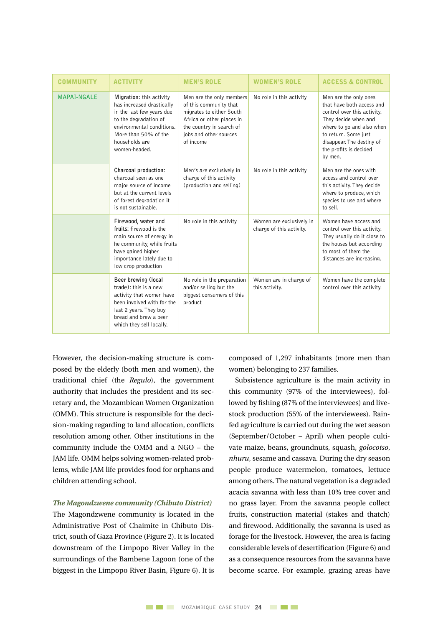| <b>COMMUNITY</b>   | <b>ACTIVITY</b>                                                                                                                                                                                     | <b>MEN'S ROLE</b>                                                                                                                                                              | <b>WOMEN'S ROLE</b>                                  | <b>ACCESS &amp; CONTROL</b>                                                                                                                                                                                                      |
|--------------------|-----------------------------------------------------------------------------------------------------------------------------------------------------------------------------------------------------|--------------------------------------------------------------------------------------------------------------------------------------------------------------------------------|------------------------------------------------------|----------------------------------------------------------------------------------------------------------------------------------------------------------------------------------------------------------------------------------|
| <b>MAPAI-NGALE</b> | Migration: this activity<br>has increased drastically<br>in the last few years due<br>to the degradation of<br>environmental conditions.<br>More than 50% of the<br>households are<br>women-headed. | Men are the only members<br>of this community that<br>migrates to either South<br>Africa or other places in<br>the country in search of<br>jobs and other sources<br>of income | No role in this activity                             | Men are the only ones<br>that have both access and<br>control over this activity.<br>They decide when and<br>where to go and also when<br>to return. Some just<br>disappear. The destiny of<br>the profits is decided<br>by men. |
|                    | Charcoal production:<br>charcoal seen as one<br>major source of income<br>but at the current levels<br>of forest degradation it<br>is not sustainable.                                              | Men's are exclusively in<br>charge of this activity<br>(production and selling)                                                                                                | No role in this activity                             | Men are the ones with<br>access and control over<br>this activity. They decide<br>where to produce, which<br>species to use and where<br>to sell.                                                                                |
|                    | Firewood, water and<br>fruits: firewood is the<br>main source of energy in<br>he community, while fruits<br>have gained higher<br>importance lately due to<br>low crop production                   | No role in this activity                                                                                                                                                       | Women are exclusively in<br>charge of this activity. | Women have access and<br>control over this activity.<br>They usually do it close to<br>the houses but according<br>to most of them the<br>distances are increasing.                                                              |
|                    | Beer brewing (local<br>trade): this is a new<br>activity that women have<br>been involved with for the<br>last 2 years. They buy<br>bread and brew a beer<br>which they sell locally.               | No role in the preparation<br>and/or selling but the<br>biggest consumers of this<br>product                                                                                   | Women are in charge of<br>this activity.             | Women have the complete<br>control over this activity.                                                                                                                                                                           |

However, the decision-making structure is composed by the elderly (both men and women), the traditional chief (the *Regulo*), the government authority that includes the president and its secretary and, the Mozambican Women Organization (OMM). This structure is responsible for the decision-making regarding to land allocation, conflicts resolution among other. Other institutions in the community include the OMM and a NGO – the JAM life. OMM helps solving women-related problems, while JAM life provides food for orphans and children attending school.

#### *The Magondzwene community (Chibuto District)*

The Magondzwene community is located in the Administrative Post of Chaimite in Chibuto District, south of Gaza Province (Figure 2). It is located downstream of the Limpopo River Valley in the surroundings of the Bambene Lagoon (one of the biggest in the Limpopo River Basin, Figure 6). It is composed of 1,297 inhabitants (more men than women) belonging to 237 families.

Subsistence agriculture is the main activity in this community (97% of the interviewees), followed by fishing (87% of the interviewees) and livestock production (55% of the interviewees). Rainfed agriculture is carried out during the wet season (September/October – April) when people cultivate maize, beans, groundnuts, squash, *golocotso*, *nhuru*, sesame and cassava. During the dry season people produce watermelon, tomatoes, lettuce among others.The natural vegetation is a degraded acacia savanna with less than 10% tree cover and no grass layer. From the savanna people collect fruits, construction material (stakes and thatch) and firewood. Additionally, the savanna is used as forage for the livestock. However, the area is facing considerable levels of desertification (Figure 6) and as a consequence resources from the savanna have become scarce. For example, grazing areas have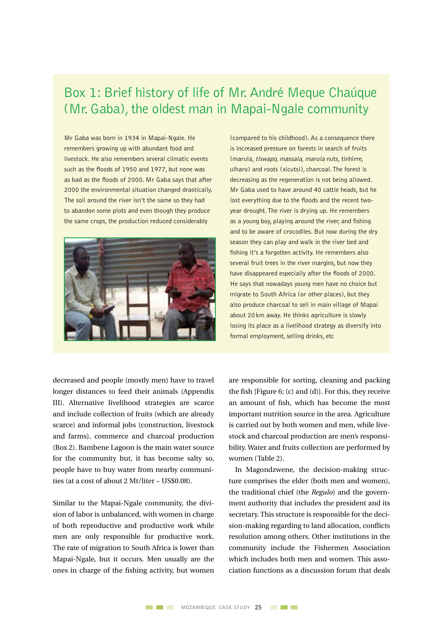### Box 1: Brief history of life of Mr. André Meque Chaúque (Mr. Gaba), the oldest man in Mapai-Ngale community

Mr Gaba was born in 1934 in Mapai-Ngale. He remembers growing up with abundant food and livestock. He also remembers several climatic events such as the floods of 1950 and 1977, but none was as bad as the floods of 2000. Mr Gaba says that after 2000 the environmental situation changed drastically. The soil around the river isn't the same so they had to abandon some plots and even though they produce the same crops, the production reduced considerably



(compared to his childhood). As a consequence there is increased pressure on forests in search of fruits (marula, tiswapo, massala, marula nuts, tinhirre, ulharo) and roots (xicutsi), charcoal. The forest is decreasing as the regeneration is not being allowed. Mr Gaba used to have around 40 cattle heads, but he lost everything due to the floods and the recent twoyear drought. The river is drying up. He remembers as a young boy, playing around the river, and fishing and to be aware of crocodiles. But now during the dry season they can play and walk in the river bed and fishing it's a forgotten activity. He remembers also several fruit trees in the river margins, but now they have disappeared especially after the floods of 2000. He says that nowadays young men have no choice but migrate to South Africa (or other places), but they also produce charcoal to sell in main village of Mapai about 20km away. He thinks agriculture is slowly losing its place as a livelihood strategy as diversify into formal employment, selling drinks, etc

decreased and people (mostly men) have to travel longer distances to feed their animals (Appendix III). Alternative livelihood strategies are scarce and include collection of fruits (which are already scarce) and informal jobs (construction, livestock and farms), commerce and charcoal production (Box 2). Bambene Lagoon is the main water source for the community but, it has become salty so, people have to buy water from nearby communities (at a cost of about 2 Mt/liter ~ US\$0.08).

Similar to the Mapai-Ngale community, the division of labor is unbalanced, with women in charge of both reproductive and productive work while men are only responsible for productive work. The rate of migration to South Africa is lower than Mapai-Ngale, but it occurs. Men usually are the ones in charge of the fishing activity, but women are responsible for sorting, cleaning and packing the fish [Figure 6; (c) and (d)]. For this, they receive an amount of fish, which has become the most important nutrition source in the area. Agriculture is carried out by both women and men, while livestock and charcoal production are men's responsibility. Water and fruits collection are performed by women (Table 2).

In Magondzwene, the decision-making structure comprises the elder (both men and women), the traditional chief (the *Regulo*) and the government authority that includes the president and its secretary. This structure is responsible for the decision-making regarding to land allocation, conflicts resolution among others. Other institutions in the community include the Fishermen Association which includes both men and women. This association functions as a discussion forum that deals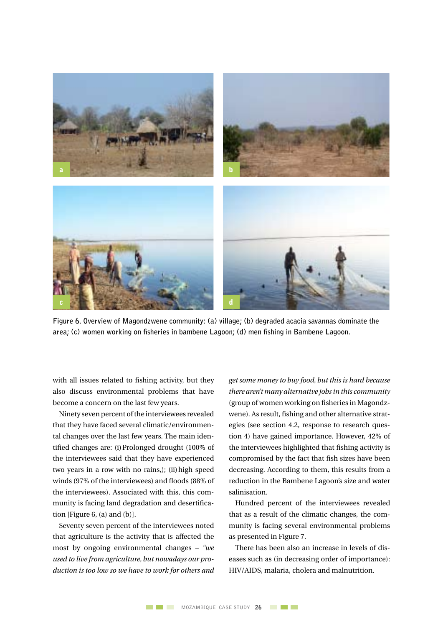

**Figure 6. Overview of Magondzwene community: (a) village; (b) degraded acacia savannas dominate the area; (c) women working on fisheries in bambene Lagoon; (d) men fishing in Bambene Lagoon.** 

with all issues related to fishing activity, but they also discuss environmental problems that have become a concern on the last few years.

Ninety seven percent of the interviewees revealed that they have faced several climatic/environmental changes over the last few years. The main identified changes are: (i)Prolonged drought (100% of the interviewees said that they have experienced two years in a row with no rains,); (ii) high speed winds (97% of the interviewees) and floods (88% of the interviewees). Associated with this, this community is facing land degradation and desertification [Figure 6, (a) and (b)].

Seventy seven percent of the interviewees noted that agriculture is the activity that is affected the most by ongoing environmental changes – *"we used to live from agriculture, but nowadays our production is too low so we have to work for others and* 

*get some money to buy food, but this is hard because there aren't many alternative jobs in this community* (group of women working on fisheries in Magondzwene). As result, fishing and other alternative strategies (see section 4.2, response to research question 4) have gained importance. However, 42% of the interviewees highlighted that fishing activity is compromised by the fact that fish sizes have been decreasing. According to them, this results from a reduction in the Bambene Lagoon's size and water salinisation.

Hundred percent of the interviewees revealed that as a result of the climatic changes, the community is facing several environmental problems as presented in Figure 7.

There has been also an increase in levels of diseases such as (in decreasing order of importance): HIV/AIDS, malaria, cholera and malnutrition.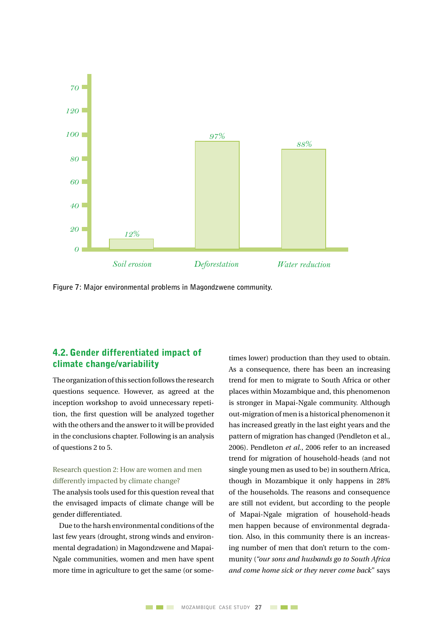

**Figure 7: Major environmental problems in Magondzwene community.**

#### 4.2. Gender differentiated impact of climate change/variability

The organization of this section follows the research questions sequence. However, as agreed at the inception workshop to avoid unnecessary repetition, the first question will be analyzed together with the others and the answer to it will be provided in the conclusions chapter. Following is an analysis of questions 2 to 5.

#### Research question 2: How are women and men differently impacted by climate change?

The analysis tools used for this question reveal that the envisaged impacts of climate change will be gender differentiated.

Due to the harsh environmental conditions of the last few years (drought, strong winds and environmental degradation) in Magondzwene and Mapai-Ngale communities, women and men have spent more time in agriculture to get the same (or sometimes lower) production than they used to obtain. As a consequence, there has been an increasing trend for men to migrate to South Africa or other places within Mozambique and, this phenomenon is stronger in Mapai-Ngale community. Although out-migration of men is a historical phenomenon it has increased greatly in the last eight years and the pattern of migration has changed (Pendleton et al., 2006). Pendleton *et al.*, 2006 refer to an increased trend for migration of household-heads (and not single young men as used to be) in southern Africa, though in Mozambique it only happens in 28% of the households. The reasons and consequence are still not evident, but according to the people of Mapai-Ngale migration of household-heads men happen because of environmental degradation. Also, in this community there is an increasing number of men that don't return to the community (*"our sons and husbands go to South Africa and come home sick or they never come back*" says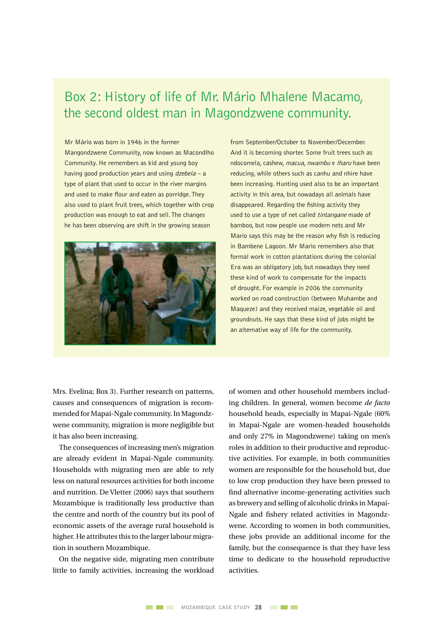### Box 2: History of life of Mr. Mário Mhalene Macamo, the second oldest man in Magondzwene community.

Mr Mário was born in 1946 in the former Mangondzwene Community, now known as Macondlho Community. He remembers as kid and young boy having good production years and using  $dzebela - a$ type of plant that used to occur in the river margins and used to make flour and eaten as porridge. They also used to plant fruit trees, which together with crop production was enough to eat and sell. The changes he has been observing are shift in the growing season



from September/October to November/December. And it is becoming shorter. Some fruit trees such as ndocomela, cashew, macua, nwambu e lharu have been reducing, while others such as canhu and nhire have been increasing. Hunting used also to be an important activity in this area, but nowadays all animals have disappeared. Regarding the fishing activity they used to use a type of net called *tintangane* made of bamboo, but now people use modern nets and Mr Mario says this may be the reason why fish is reducing in Bambene Lagoon. Mr Mario remembers also that formal work in cotton plantations during the colonial Era was an obligatory job, but nowadays they need these kind of work to compensate for the impacts of drought. For example in 2006 the community worked on road construction (between Muhambe and Maqueze) and they received maize, vegetable oil and groundnuts. He says that these kind of jobs might be an alternative way of life for the community.

Mrs. Evelina; Box 3). Further research on patterns, causes and consequences of migration is recommended for Mapai-Ngale community.In Magondzwene community, migration is more negligible but it has also been increasing.

The consequences of increasing men's migration are already evident in Mapai-Ngale community. Households with migrating men are able to rely less on natural resources activities for both income and nutrition. De Vletter (2006) says that southern Mozambique is traditionally less productive than the centre and north of the country but its pool of economic assets of the average rural household is higher. He attributes this to the larger labour migration in southern Mozambique.

On the negative side, migrating men contribute little to family activities, increasing the workload of women and other household members including children. In general, women become *de facto* household heads, especially in Mapai-Ngale (60% in Mapai-Ngale are women-headed households and only 27% in Magondzwene) taking on men's roles in addition to their productive and reproductive activities. For example, in both communities women are responsible for the household but, due to low crop production they have been pressed to find alternative income-generating activities such as brewery and selling of alcoholic drinks in Mapai-Ngale and fishery related activities in Magondzwene. According to women in both communities, these jobs provide an additional income for the family, but the consequence is that they have less time to dedicate to the household reproductive activities.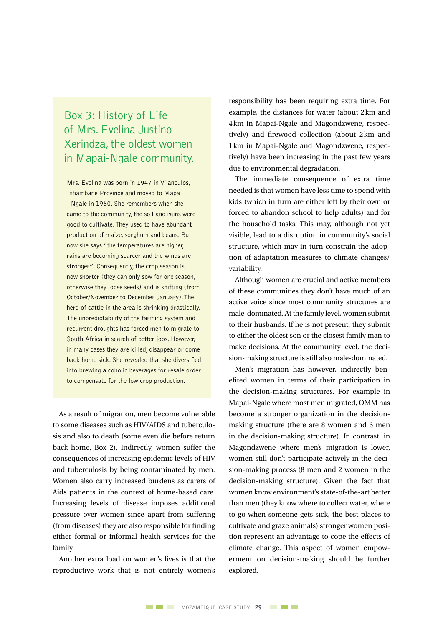### Box 3: History of Life of Mrs. Evelina Justino Xerindza, the oldest women in Mapai-Ngale community.

Mrs. Evelina was born in 1947 in Vilanculos, Inhambane Province and moved to Mapai - Ngale in 1960. She remembers when she came to the community, the soil and rains were good to cultivate. They used to have abundant production of maize, sorghum and beans. But now she says "the temperatures are higher, rains are becoming scarcer and the winds are stronger". Consequently, the crop season is now shorter (they can only sow for one season, otherwise they loose seeds) and is shifting (from October/November to December January). The herd of cattle in the area is shrinking drastically. The unpredictability of the farming system and recurrent droughts has forced men to migrate to South Africa in search of better jobs. However, in many cases they are killed, disappear or come back home sick. She revealed that she diversified into brewing alcoholic beverages for resale order to compensate for the low crop production.

As a result of migration, men become vulnerable to some diseases such as HIV/AIDS and tuberculosis and also to death (some even die before return back home, Box 2). Indirectly, women suffer the consequences of increasing epidemic levels of HIV and tuberculosis by being contaminated by men. Women also carry increased burdens as carers of Aids patients in the context of home-based care. Increasing levels of disease imposes additional pressure over women since apart from suffering (from diseases) they are also responsible for finding either formal or informal health services for the family.

Another extra load on women's lives is that the reproductive work that is not entirely women's responsibility has been requiring extra time. For example, the distances for water (about 2km and 4km in Mapai-Ngale and Magondzwene, respectively) and firewood collection (about 2km and 1km in Mapai-Ngale and Magondzwene, respectively) have been increasing in the past few years due to environmental degradation.

The immediate consequence of extra time needed is that women have less time to spend with kids (which in turn are either left by their own or forced to abandon school to help adults) and for the household tasks. This may, although not yet visible, lead to a disruption in community's social structure, which may in turn constrain the adoption of adaptation measures to climate changes/ variability.

Although women are crucial and active members of these communities they don't have much of an active voice since most community structures are male-dominated. At the family level, women submit to their husbands. If he is not present, they submit to either the oldest son or the closest family man to make decisions. At the community level, the decision-making structure is still also male-dominated.

Men's migration has however, indirectly benefited women in terms of their participation in the decision-making structures. For example in Mapai-Ngale where most men migrated, OMM has become a stronger organization in the decisionmaking structure (there are 8 women and 6 men in the decision-making structure). In contrast, in Magondzwene where men's migration is lower, women still don't participate actively in the decision-making process (8 men and 2 women in the decision-making structure). Given the fact that women know environment's state-of-the-art better than men (they know where to collect water, where to go when someone gets sick, the best places to cultivate and graze animals) stronger women position represent an advantage to cope the effects of climate change. This aspect of women empowerment on decision-making should be further explored.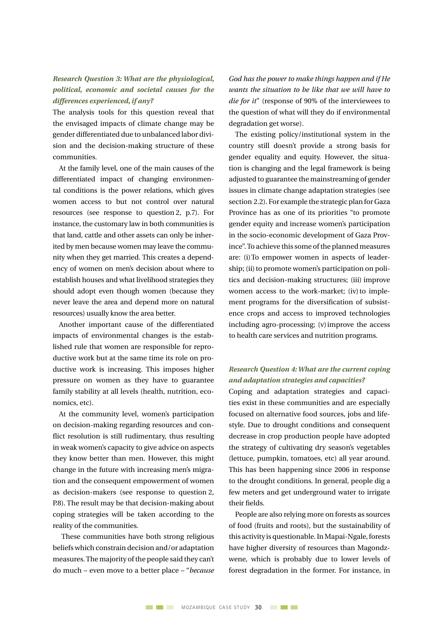#### *Research Question 3: What are the physiological, political, economic and societal causes for the differences experienced, if any?*

The analysis tools for this question reveal that the envisaged impacts of climate change may be gender differentiated due to unbalanced labor division and the decision-making structure of these communities.

At the family level, one of the main causes of the differentiated impact of changing environmental conditions is the power relations, which gives women access to but not control over natural resources (see response to question 2,  $p.7$ ). For instance, the customary law in both communities is that land, cattle and other assets can only be inherited by men because women may leave the community when they get married. This creates a dependency of women on men's decision about where to establish houses and what livelihood strategies they should adopt even though women (because they never leave the area and depend more on natural resources) usually know the area better.

Another important cause of the differentiated impacts of environmental changes is the established rule that women are responsible for reproductive work but at the same time its role on productive work is increasing. This imposes higher pressure on women as they have to guarantee family stability at all levels (health, nutrition, economics, etc).

At the community level, women's participation on decision-making regarding resources and conflict resolution is still rudimentary, thus resulting in weak women's capacity to give advice on aspects they know better than men. However, this might change in the future with increasing men's migration and the consequent empowerment of women as decision-makers (see response to question 2, P.8). The result may be that decision-making about coping strategies will be taken according to the reality of the communities.

These communities have both strong religious beliefs which constrain decision and/or adaptation measures. The majority of the people said they can't do much – even move to a better place – "*because*  *God has the power to make things happen and if He wants the situation to be like that we will have to die for it*" (response of 90% of the interviewees to the question of what will they do if environmental degradation get worse).

The existing policy/institutional system in the country still doesn't provide a strong basis for gender equality and equity. However, the situation is changing and the legal framework is being adjusted to guarantee the mainstreaming of gender issues in climate change adaptation strategies (see section 2.2). For example the strategic plan for Gaza Province has as one of its priorities "to promote gender equity and increase women's participation in the socio-economic development of Gaza Province". To achieve this some of the planned measures are: (i)To empower women in aspects of leadership; (ii) to promote women's participation on politics and decision-making structures; (iii) improve women access to the work-market; (iv) to implement programs for the diversification of subsistence crops and access to improved technologies including agro-processing; (v)improve the access to health care services and nutrition programs.

#### *Research Question 4: What are the current coping and adaptation strategies and capacities?*

Coping and adaptation strategies and capacities exist in these communities and are especially focused on alternative food sources, jobs and lifestyle. Due to drought conditions and consequent decrease in crop production people have adopted the strategy of cultivating dry season's vegetables (lettuce, pumpkin, tomatoes, etc) all year around. This has been happening since 2006 in response to the drought conditions. In general, people dig a few meters and get underground water to irrigate their fields.

People are also relying more on forests as sources of food (fruits and roots), but the sustainability of this activity is questionable. In Mapai-Ngale, forests have higher diversity of resources than Magondzwene, which is probably due to lower levels of forest degradation in the former. For instance, in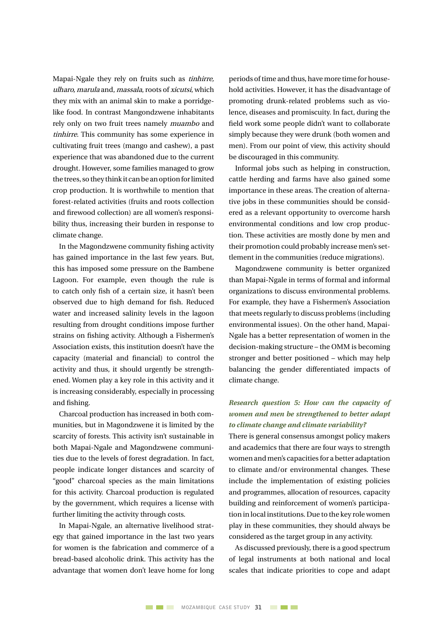Mapai-Ngale they rely on fruits such as tinhirre, ulharo, marula and, massala, roots of xicutsi, which they mix with an animal skin to make a porridgelike food. In contrast Mangondzwene inhabitants rely only on two fruit trees namely muambo and tinhirre. This community has some experience in cultivating fruit trees (mango and cashew), a past experience that was abandoned due to the current drought. However, some families managed to grow the trees, sothey think it canbe anoptionforlimited crop production. It is worthwhile to mention that forest-related activities (fruits and roots collection and firewood collection) are all women's responsibility thus, increasing their burden in response to climate change.

In the Magondzwene community fishing activity has gained importance in the last few years. But, this has imposed some pressure on the Bambene Lagoon. For example, even though the rule is to catch only fish of a certain size, it hasn't been observed due to high demand for fish. Reduced water and increased salinity levels in the lagoon resulting from drought conditions impose further strains on fishing activity. Although a Fishermen's Association exists, this institution doesn't have the capacity (material and financial) to control the activity and thus, it should urgently be strengthened. Women play a key role in this activity and it is increasing considerably, especially in processing and fishing.

Charcoal production has increased in both communities, but in Magondzwene it is limited by the scarcity of forests. This activity isn't sustainable in both Mapai-Ngale and Magondzwene communities due to the levels of forest degradation. In fact, people indicate longer distances and scarcity of "good" charcoal species as the main limitations for this activity. Charcoal production is regulated by the government, which requires a license with further limiting the activity through costs.

In Mapai-Ngale, an alternative livelihood strategy that gained importance in the last two years for women is the fabrication and commerce of a bread-based alcoholic drink. This activity has the advantage that women don't leave home for long periods oftime and thus, have more time for household activities. However, it has the disadvantage of promoting drunk-related problems such as violence, diseases and promiscuity. In fact, during the field work some people didn't want to collaborate simply because they were drunk (both women and men). From our point of view, this activity should be discouraged in this community.

Informal jobs such as helping in construction, cattle herding and farms have also gained some importance in these areas. The creation of alternative jobs in these communities should be considered as a relevant opportunity to overcome harsh environmental conditions and low crop production. These activities are mostly done by men and their promotion could probably increase men's settlement in the communities (reduce migrations).

Magondzwene community is better organized than Mapai-Ngale in terms of formal and informal organizations to discuss environmental problems. For example, they have a Fishermen's Association that meets regularly to discuss problems (including environmental issues). On the other hand, Mapai-Ngale has a better representation of women in the decision-making structure – the OMM is becoming stronger and better positioned – which may help balancing the gender differentiated impacts of climate change.

#### *Research question 5: How can the capacity of women and men be strengthened to better adapt to climate change and climate variability?*

There is general consensus amongst policy makers and academics that there are four ways to strength women and men's capacities for a better adaptation to climate and/or environmental changes. These include the implementation of existing policies and programmes, allocation of resources, capacity building and reinforcement of women's participation in local institutions. Due to the key role women play in these communities, they should always be considered as the target group in any activity.

As discussed previously, there is a good spectrum of legal instruments at both national and local scales that indicate priorities to cope and adapt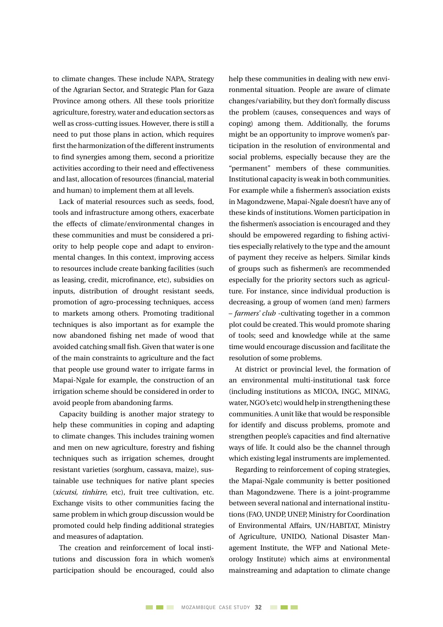to climate changes. These include NAPA, Strategy of the Agrarian Sector, and Strategic Plan for Gaza Province among others. All these tools prioritize agriculture, forestry, water and education sectors as well as cross-cutting issues. However, there is still a need to put those plans in action, which requires first the harmonization of the different instruments to find synergies among them, second a prioritize activities according to their need and effectiveness and last, allocation ofresources (financial, material and human) to implement them at all levels.

Lack of material resources such as seeds, food, tools and infrastructure among others, exacerbate the effects of climate/environmental changes in these communities and must be considered a priority to help people cope and adapt to environmental changes. In this context, improving access to resources include create banking facilities (such as leasing, credit, microfinance, etc), subsidies on inputs, distribution of drought resistant seeds, promotion of agro-processing techniques, access to markets among others. Promoting traditional techniques is also important as for example the now abandoned fishing net made of wood that avoided catching small fish. Given that water is one of the main constraints to agriculture and the fact that people use ground water to irrigate farms in Mapai-Ngale for example, the construction of an irrigation scheme should be considered in order to avoid people from abandoning farms.

Capacity building is another major strategy to help these communities in coping and adapting to climate changes. This includes training women and men on new agriculture, forestry and fishing techniques such as irrigation schemes, drought resistant varieties (sorghum, cassava, maize), sustainable use techniques for native plant species (xicutsi, tinhirre, etc), fruit tree cultivation, etc. Exchange visits to other communities facing the same problem in which group discussion would be promoted could help finding additional strategies and measures of adaptation.

The creation and reinforcement of local institutions and discussion fora in which women's participation should be encouraged, could also

help these communities in dealing with new environmental situation. People are aware of climate changes/variability, but they don't formally discuss the problem (causes, consequences and ways of coping) among them. Additionally, the forums might be an opportunity to improve women's participation in the resolution of environmental and social problems, especially because they are the "permanent" members of these communities. Institutional capacity is weak in both communities. For example while a fishermen's association exists in Magondzwene, Mapai-Ngale doesn't have any of these kinds of institutions. Women participation in the fishermen's association is encouraged and they should be empowered regarding to fishing activities especially relatively to the type and the amount of payment they receive as helpers. Similar kinds of groups such as fishermen's are recommended especially for the priority sectors such as agriculture. For instance, since individual production is decreasing, a group of women (and men) farmers – *farmers' club* -cultivating together in a common plot could be created. This would promote sharing of tools; seed and knowledge while at the same time would encourage discussion and facilitate the resolution of some problems.

At district or provincial level, the formation of an environmental multi-institutional task force (including institutions as MICOA, INGC, MINAG, water, NGO's etc) would help in strengthening these communities. A unit like that would be responsible for identify and discuss problems, promote and strengthen people's capacities and find alternative ways of life. It could also be the channel through which existing legal instruments are implemented.

Regarding to reinforcement of coping strategies, the Mapai-Ngale community is better positioned than Magondzwene. There is a joint-programme between several national and international institutions (FAO, UNDP, UNEP, Ministry for Coordination of Environmental Affairs, UN/HABITAT, Ministry of Agriculture, UNIDO, National Disaster Management Institute, the WFP and National Meteorology Institute) which aims at environmental mainstreaming and adaptation to climate change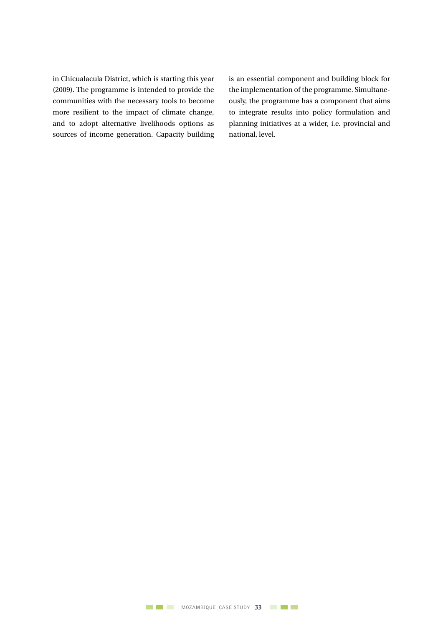in Chicualacula District, which is starting this year (2009). The programme is intended to provide the communities with the necessary tools to become more resilient to the impact of climate change, and to adopt alternative livelihoods options as sources of income generation. Capacity building is an essential component and building block for the implementation of the programme. Simultaneously, the programme has a component that aims to integrate results into policy formulation and planning initiatives at a wider, i.e. provincial and national, level.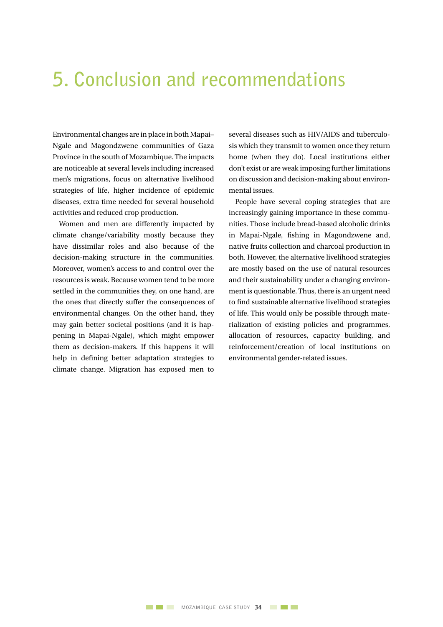## **5. Conclusion and recommendations**

Environmental changes are in place in both Mapai– Ngale and Magondzwene communities of Gaza Province in the south of Mozambique. The impacts are noticeable at several levels including increased men's migrations, focus on alternative livelihood strategies of life, higher incidence of epidemic diseases, extra time needed for several household activities and reduced crop production.

Women and men are differently impacted by climate change/variability mostly because they have dissimilar roles and also because of the decision-making structure in the communities. Moreover, women's access to and control over the resources is weak. Because women tend to be more settled in the communities they, on one hand, are the ones that directly suffer the consequences of environmental changes. On the other hand, they may gain better societal positions (and it is happening in Mapai-Ngale), which might empower them as decision-makers. If this happens it will help in defining better adaptation strategies to climate change. Migration has exposed men to

several diseases such as HIV/AIDS and tuberculosis which they transmit to women once they return home (when they do). Local institutions either don't exist or are weak imposing further limitations on discussion and decision-making about environmental issues.

People have several coping strategies that are increasingly gaining importance in these communities. Those include bread-based alcoholic drinks in Mapai-Ngale, fishing in Magondzwene and, native fruits collection and charcoal production in both. However, the alternative livelihood strategies are mostly based on the use of natural resources and their sustainability under a changing environment is questionable. Thus, there is an urgent need to find sustainable alternative livelihood strategies of life. This would only be possible through materialization of existing policies and programmes, allocation of resources, capacity building, and reinforcement/creation of local institutions on environmental gender-related issues.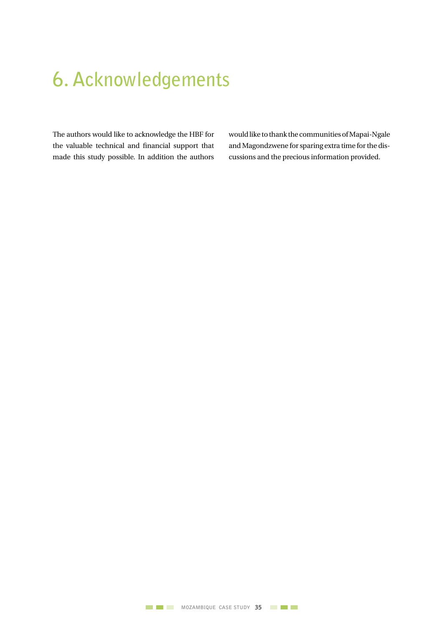## **6. Acknowledgements**

The authors would like to acknowledge the HBF for the valuable technical and financial support that made this study possible. In addition the authors

would like to thank the communities of Mapai-Ngale and Magondzwene for sparing extra time forthe discussions and the precious information provided.

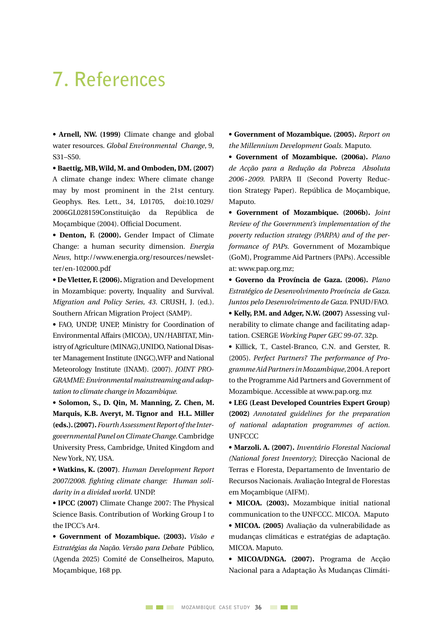## **7. References**

**• Arnell, NW. (1999)** Climate change and global water resources. *Global Environmental Change*, 9, S31–S50.

**• Baettig, MB, Wild, M. and Omboden, DM. (2007)** A climate change index: Where climate change may by most prominent in the 21st century. Geophys. Res. Lett., 34, L01705, doi:10.1029/ 2006GL028159Constituição da República de Moçambique (2004). Official Document.

**• Denton, F. (2000).** Gender Impact of Climate Change: a human security dimension. *Energia News*, http://www.energia.org/resources/newsletter/en-102000.pdf

**• De Vletter, F. (2006).** Migration and Development in Mozambique: poverty, Inquality and Survival. *Migration and Policy Series, 43*. CRUSH, J. (ed.). Southern African Migration Project (SAMP).

**•** FAO, UNDP, UNEP, Ministry for Coordination of Environmental Affairs (MICOA), UN/HABITAT, Ministry of Agriculture (MINAG), UNIDO, National Disaster Management Institute (INGC),WFP and National Meteorology Institute (INAM). (2007). *JOINT PRO-GRAMME: Environmental mainstreaming and adaptation to climate change in Mozambique.*

**• Solomon, S., D. Qin, M. Manning, Z. Chen, M. Marquis, K.B. Averyt, M. Tignor and H.L. Miller (eds.). (2007).** *Fourth Assessment Report of the Intergovernmental Panel on Climate Change.* Cambridge University Press, Cambridge, United Kingdom and New York, NY, USA.

**• Watkins, K. (2007)**. *Human Development Report 2007/2008. fighting climate change: Human solidarity in a divided world.* UNDP.

**• IPCC (2007)** Climate Change 2007: The Physical Science Basis. Contribution of Working Group I to the IPCC's Ar4.

**• Government of Mozambique. (2003).** *Visão e Estratégias da Nação. Versão para Debate* Público, (Agenda 2025) Comité de Conselheiros, Maputo, Moçambique, 168 pp.

**• Government of Mozambique. (2005).** *Report on the Millennium Development Goals.* Maputo.

**• Government of Mozambique. (2006a).** *Plano de Acção para a Redução da Pobreza Absoluta 2006-2009.* PARPA II (Second Poverty Reduction Strategy Paper). República de Moçambique, Maputo.

**• Government of Mozambique. (2006b).** *Joint Review of the Government's implementation of the poverty reduction strategy (PARPA) and of the performance of PAPs.* Government of Mozambique (GoM), Programme Aid Partners (PAPs). Accessible at: www.pap.org.mz;

**• Governo da Província de Gaza. (2006).** *Plano Estratégico de Desenvolvimento Província de Gaza. Juntos pelo Desenvolvimento de Gaza.* PNUD/FAO. **• Kelly, P.M. and Adger, N.W. (2007)** Assessing vul-

nerability to climate change and facilitating adaptation. CSERGE *Working Paper GEC 99-07*. 32p.

**•** Killick, T., Castel-Branco, C.N. and Gerster, R. (2005). *Perfect Partners? The performance of Programme Aid Partners in Mozambique*,2004.Areport to the Programme Aid Partners and Government of Mozambique. Accessible at www.pap.org.mz

**• LEG (Least Developed Countries Expert Group) (2002)** *Annotated guidelines for the preparation of national adaptation programmes of action.* **UNFCCC** 

**• Marzoli. A. (2007).** *Inventário Florestal Nacional (National forest Inventory)*; Direcção Nacional de Terras e Floresta, Departamento de Inventario de Recursos Nacionais. Avaliação Integral de Florestas em Moçambique (AIFM).

**• MICOA. (2003).** Mozambique initial national communication to the UNFCCC. MICOA. Maputo **• MICOA. (2005)** Avaliação da vulnerabilidade as mudanças climáticas e estratégias de adaptação. MICOA. Maputo.

**• MICOA/DNGA. (2007).** Programa de Acção Nacional para a Adaptação Às Mudanças Climáti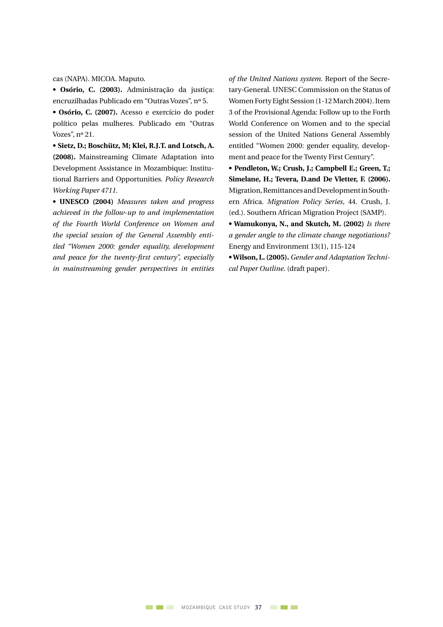cas (NAPA). MICOA. Maputo.

**• Osório, C. (2003).** Administração da justiça: encruzilhadas Publicado em "Outras Vozes", nº 5.

**• Osório, C. (2007).** Acesso e exercício do poder político pelas mulheres. Publicado em "Outras Vozes", nº 21.

**• Sietz, D.; Boschütz, M; Klei, R.J.T. and Lotsch, A. (2008).** Mainstreaming Climate Adaptation into Development Assistance in Mozambique: Institutional Barriers and Opportunities. *Policy Research Working Paper 4711.*

**• UNESCO (2004)** *Measures taken and progress achieved in the follow-up to and implementation of the Fourth World Conference on Women and the special session of the General Assembly entitled "Women 2000: gender equality, development and peace for the twenty-first century", especially in mainstreaming gender perspectives in entities* 

*of the United Nations system.* Report of the Secretary-General. UNESC Commission on the Status of Women Forty Eight Session (1-12 March 2004). Item 3 of the Provisional Agenda: Follow up to the Forth World Conference on Women and to the special session of the United Nations General Assembly entitled "Women 2000: gender equality, development and peace for the Twenty First Century".

**• Pendleton, W.; Crush, J.; Campbell E.; Green, T.; Simelane, H.; Tevera, D.and De Vletter, F. (2006).**  Migration,RemittancesandDevelopmentinSouthern Africa. *Migration Policy Series*, 44. Crush, J. (ed.). Southern African Migration Project (SAMP).

**• Wamukonya, N., and Skutch, M. (2002)** *Is there a gender angle to the climate change negotiations?*  Energy and Environment 13(1), 115-124

**• Wilson, L. (2005).** *Gender and Adaptation Technical Paper Outline*. (draft paper).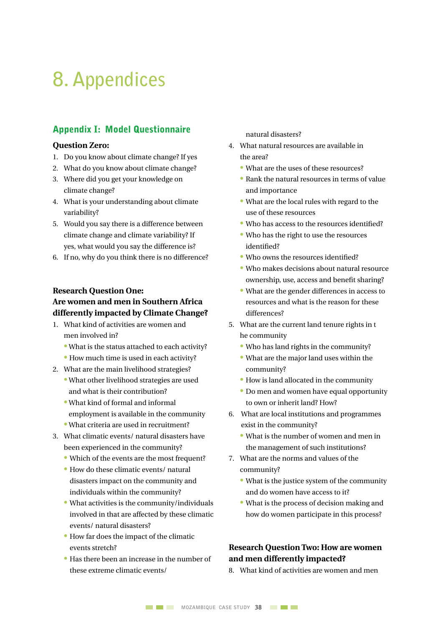## **8. Appendices**

#### Appendix I: Model Questionnaire

#### **Question Zero:**

- 1. Do you know about climate change? If yes
- 2. What do you know about climate change?
- 3. Where did you get your knowledge on climate change?
- 4. What is your understanding about climate variability?
- 5. Would you say there is a difference between climate change and climate variability? If yes, what would you say the difference is?
- 6. If no, why do you think there is no difference?

#### **Research Question One: Are women and men in Southern Africa differently impacted by Climate Change?**

- 1. What kind of activities are women and men involved in?
	- What is the status attached to each activity?
	- How much time is used in each activity?
- 2. What are the main livelihood strategies?
	- What other livelihood strategies are used and what is their contribution?
	- What kind of formal and informal employment is available in the community
	- What criteria are used in recruitment?
- 3. What climatic events/ natural disasters have been experienced in the community?
	- Which of the events are the most frequent?
	- How do these climatic events/ natural disasters impact on the community and individuals within the community?
	- What activities is the community/individuals involved in that are affected by these climatic events/ natural disasters?
	- How far does the impact of the climatic events stretch?
	- Has there been an increase in the number of these extreme climatic events/

natural disasters?

- 4. What natural resources are available in the area?
	- What are the uses of these resources?
	- Rank the natural resources in terms of value and importance
	- What are the local rules with regard to the use of these resources
	- Who has access to the resources identified?
	- Who has the right to use the resources identified?
	- Who owns the resources identified?
	- Who makes decisions about natural resource ownership, use, access and benefit sharing?
	- What are the gender differences in access to resources and what is the reason for these differences?
- 5. What are the current land tenure rights in t he community
	- Who has land rights in the community?
	- What are the major land uses within the community?
	- How is land allocated in the community
	- Do men and women have equal opportunity to own or inherit land? How?
- 6. What are local institutions and programmes exist in the community?
	- What is the number of women and men in the management of such institutions?
- 7. What are the norms and values of the community?
	- What is the justice system of the community and do women have access to it?
	- What is the process of decision making and how do women participate in this process?

#### **Research Question Two: How are women and men differently impacted?**

8. What kind of activities are women and men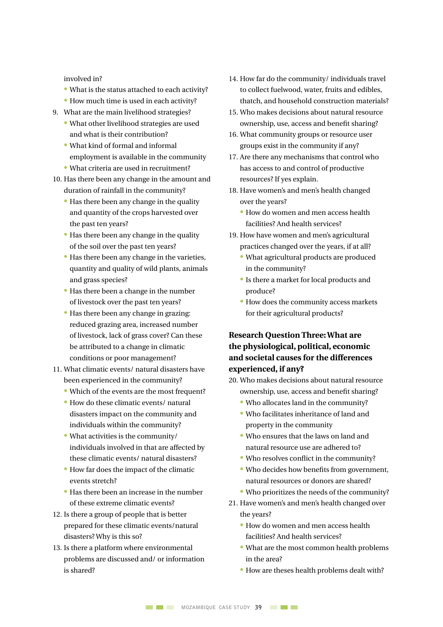involved in?

- What is the status attached to each activity?
- How much time is used in each activity?
- 9. What are the main livelihood strategies?
	- What other livelihood strategies are used and what is their contribution?
	- What kind of formal and informal employment is available in the community
	- What criteria are used in recruitment?
- 10. Has there been any change in the amount and duration of rainfall in the community?
	- Has there been any change in the quality and quantity of the crops harvested over the past ten years?
	- Has there been any change in the quality of the soil over the past ten years?
	- Has there been any change in the varieties, quantity and quality of wild plants, animals and grass species?
	- Has there been a change in the number of livestock over the past ten years?
	- Has there been any change in grazing: reduced grazing area, increased number of livestock, lack of grass cover? Can these be attributed to a change in climatic conditions or poor management?
- 11. What climatic events/ natural disasters have been experienced in the community?
	- Which of the events are the most frequent?
	- How do these climatic events/ natural disasters impact on the community and individuals within the community?
	- What activities is the community/ individuals involved in that are affected by these climatic events/ natural disasters?
	- How far does the impact of the climatic events stretch?
	- Has there been an increase in the number of these extreme climatic events?
- 12. Is there a group of people that is better prepared for these climatic events/natural disasters? Why is this so?
- 13. Is there a platform where environmental problems are discussed and/ or information is shared?
- 14. How far do the community/ individuals travel to collect fuelwood, water, fruits and edibles, thatch, and household construction materials?
- 15. Who makes decisions about natural resource ownership, use, access and benefit sharing?
- 16. What community groups or resource user groups exist in the community if any?
- 17. Are there any mechanisms that control who has access to and control of productive resources? If yes explain.
- 18. Have women's and men's health changed over the years?
	- How do women and men access health facilities? And health services?
- 19. How have women and men's agricultural practices changed over the years, if at all?
	- What agricultural products are produced in the community?
	- Is there a market for local products and produce?
	- How does the community access markets for their agricultural products?

#### **Research Question Three: What are the physiological, political, economic and societal causes for the differences experienced, if any?**

- 20. Who makes decisions about natural resource ownership, use, access and benefit sharing?
	- Who allocates land in the community?
	- Who facilitates inheritance of land and property in the community
	- Who ensures that the laws on land and natural resource use are adhered to?
	- Who resolves conflict in the community?
	- Who decides how benefits from government, natural resources or donors are shared?
	- Who prioritizes the needs of the community?
- 21. Have women's and men's health changed over the years?
	- How do women and men access health facilities? And health services?
	- What are the most common health problems in the area?
	- How are theses health problems dealt with?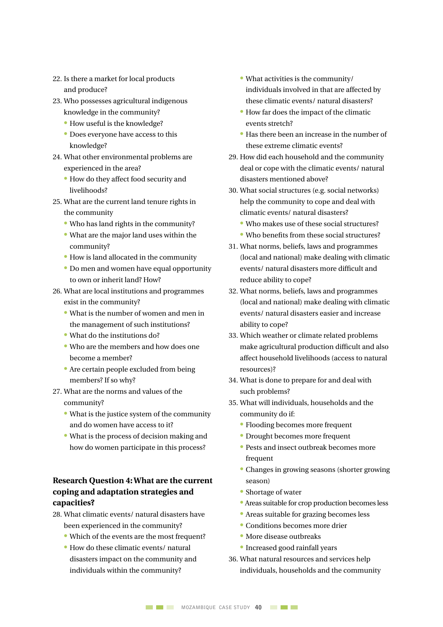- 22. Is there a market for local products and produce?
- 23. Who possesses agricultural indigenous knowledge in the community?
	- How useful is the knowledge?
	- Does everyone have access to this knowledge?
- 24. What other environmental problems are experienced in the area?
	- How do they affect food security and livelihoods?
- 25. What are the current land tenure rights in the community
	- Who has land rights in the community?
	- What are the major land uses within the community?
	- How is land allocated in the community
	- Do men and women have equal opportunity to own or inherit land? How?
- 26. What are local institutions and programmes exist in the community?
	- What is the number of women and men in the management of such institutions?
	- What do the institutions do?
	- Who are the members and how does one become a member?
	- Are certain people excluded from being members? If so why?
- 27. What are the norms and values of the
	- community?
	- What is the justice system of the community and do women have access to it?
	- What is the process of decision making and how do women participate in this process?

#### **Research Question 4: What are the current coping and adaptation strategies and capacities?**

- 28. What climatic events/ natural disasters have been experienced in the community?
	- Which of the events are the most frequent?
	- How do these climatic events/ natural disasters impact on the community and individuals within the community?
- What activities is the community/ individuals involved in that are affected by these climatic events/ natural disasters?
- How far does the impact of the climatic events stretch?
- Has there been an increase in the number of these extreme climatic events?
- 29. How did each household and the community deal or cope with the climatic events/ natural disasters mentioned above?
- 30. What social structures (e.g. social networks) help the community to cope and deal with climatic events/ natural disasters?
	- Who makes use of these social structures?
	- Who benefits from these social structures?
- 31. What norms, beliefs, laws and programmes (local and national) make dealing with climatic events/ natural disasters more difficult and reduce ability to cope?
- 32. What norms, beliefs, laws and programmes (local and national) make dealing with climatic events/ natural disasters easier and increase ability to cope?
- 33. Which weather or climate related problems make agricultural production difficult and also affect household livelihoods (access to natural resources)?
- 34. What is done to prepare for and deal with such problems?
- 35. What will individuals, households and the community do if:
	- Flooding becomes more frequent
	- Drought becomes more frequent
	- Pests and insect outbreak becomes more frequent
	- Changes in growing seasons (shorter growing season)
	- Shortage of water
	- Areas suitable for crop production becomes less
	- Areas suitable for grazing becomes less
	- Conditions becomes more drier
	- More disease outbreaks
	- Increased good rainfall years
- 36. What natural resources and services help individuals, households and the community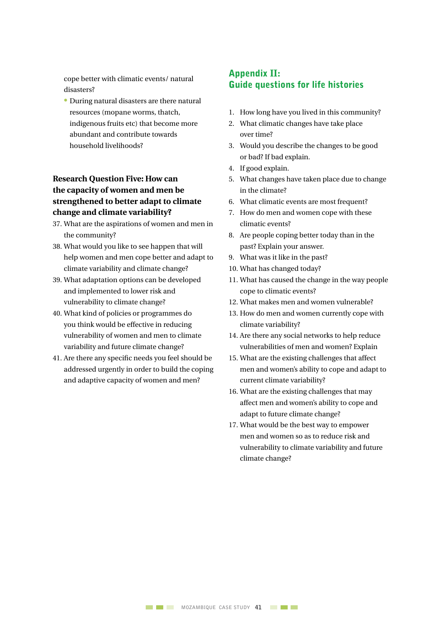cope better with climatic events/ natural disasters?

 • During natural disasters are there natural resources (mopane worms, thatch, indigenous fruits etc) that become more abundant and contribute towards household livelihoods?

#### **Research Question Five: How can the capacity of women and men be strengthened to better adapt to climate change and climate variability?**

- 37. What are the aspirations of women and men in the community?
- 38. What would you like to see happen that will help women and men cope better and adapt to climate variability and climate change?
- 39. What adaptation options can be developed and implemented to lower risk and vulnerability to climate change?
- 40. What kind of policies or programmes do you think would be effective in reducing vulnerability of women and men to climate variability and future climate change?
- 41. Are there any specific needs you feel should be addressed urgently in order to build the coping and adaptive capacity of women and men?

#### Appendix II: Guide questions for life histories

- 1. How long have you lived in this community?
- 2. What climatic changes have take place over time?
- 3. Would you describe the changes to be good or bad? If bad explain.
- 4. If good explain.
- 5. What changes have taken place due to change in the climate?
- 6. What climatic events are most frequent?
- 7. How do men and women cope with these climatic events?
- 8. Are people coping better today than in the past? Explain your answer.
- 9. What was it like in the past?
- 10. What has changed today?
- 11. What has caused the change in the way people cope to climatic events?
- 12. What makes men and women vulnerable?
- 13. How do men and women currently cope with climate variability?
- 14. Are there any social networks to help reduce vulnerabilities of men and women? Explain
- 15. What are the existing challenges that affect men and women's ability to cope and adapt to current climate variability?
- 16. What are the existing challenges that may affect men and women's ability to cope and adapt to future climate change?
- 17. What would be the best way to empower men and women so as to reduce risk and vulnerability to climate variability and future climate change?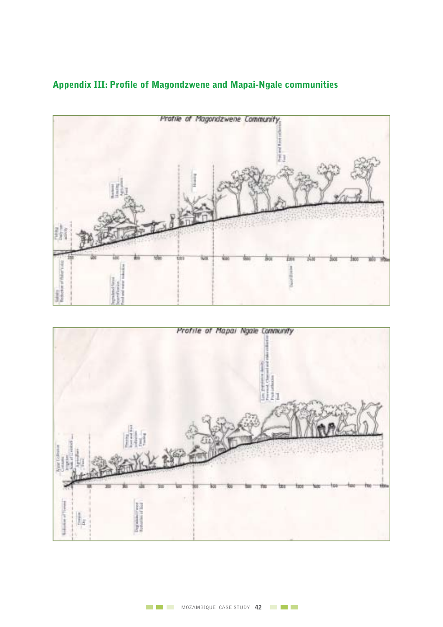

#### Appendix III: Profile of Magondzwene and Mapai-Ngale communities